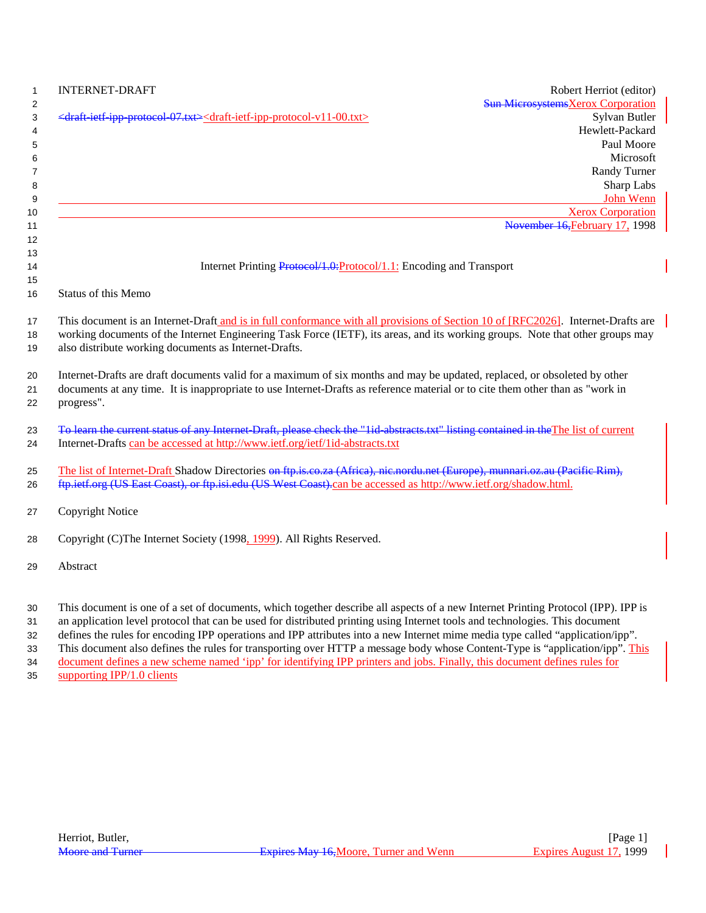| $\mathbf{1}$                            | <b>INTERNET-DRAFT</b><br>Robert Herriot (editor)                                                                                                                                                                                                                                                                                                                                                    |
|-----------------------------------------|-----------------------------------------------------------------------------------------------------------------------------------------------------------------------------------------------------------------------------------------------------------------------------------------------------------------------------------------------------------------------------------------------------|
| $\overline{c}$<br>3<br>4<br>5<br>6<br>7 | <b>Sun MicrosystemsXerox Corporation</b><br><draft-ietf-ipp-protocol-07.txt><draft-ietf-ipp-protocol-v11-00.txt><br/>Sylvan Butler<br/>Hewlett-Packard<br/>Paul Moore<br/>Microsoft<br/>Randy Turner</draft-ietf-ipp-protocol-v11-00.txt></draft-ietf-ipp-protocol-07.txt>                                                                                                                          |
| 8<br>9                                  | Sharp Labs<br><b>John Wenn</b>                                                                                                                                                                                                                                                                                                                                                                      |
| 10                                      | <b>Xerox Corporation</b>                                                                                                                                                                                                                                                                                                                                                                            |
| 11<br>12                                | November 16, February 17, 1998                                                                                                                                                                                                                                                                                                                                                                      |
| 13<br>14<br>15<br>16                    | Internet Printing Protocol/1.0: Protocol/1.1: Encoding and Transport<br>Status of this Memo                                                                                                                                                                                                                                                                                                         |
| 17<br>18<br>19                          | This document is an Internet-Draft and is in full conformance with all provisions of Section 10 of [RFC2026]. Internet-Drafts are<br>working documents of the Internet Engineering Task Force (IETF), its areas, and its working groups. Note that other groups may<br>also distribute working documents as Internet-Drafts.                                                                        |
| 20<br>21<br>22                          | Internet-Drafts are draft documents valid for a maximum of six months and may be updated, replaced, or obsoleted by other<br>documents at any time. It is inappropriate to use Internet-Drafts as reference material or to cite them other than as "work in<br>progress".                                                                                                                           |
| 23<br>24                                | To learn the current status of any Internet-Draft, please check the "lid-abstracts.txt" listing contained in the The list of current<br>Internet-Drafts can be accessed at http://www.ietf.org/ietf/1id-abstracts.txt                                                                                                                                                                               |
| 25<br>26                                | The list of Internet-Draft Shadow Directories on ftp.is.co.za (Africa), nic.nordu.net (Europe), munnari.oz.au (Pacific Rim),<br>ftp.ietf.org (US East Coast), or ftp.isi.edu (US West Coast).can be accessed as http://www.ietf.org/shadow.html.                                                                                                                                                    |
| 27                                      | <b>Copyright Notice</b>                                                                                                                                                                                                                                                                                                                                                                             |
| 28                                      | Copyright (C)The Internet Society (1998, 1999). All Rights Reserved.                                                                                                                                                                                                                                                                                                                                |
| 29                                      | Abstract                                                                                                                                                                                                                                                                                                                                                                                            |
| 30<br>31<br>32                          | This document is one of a set of documents, which together describe all aspects of a new Internet Printing Protocol (IPP). IPP is<br>an application level protocol that can be used for distributed printing using Internet tools and technologies. This document<br>defines the rules for encoding IPP operations and IPP attributes into a new Internet mime media type called "application/ipp". |

33 This document also defines the rules for transporting over HTTP a message body whose Content-Type is "application/ipp". This

34 document defines a new scheme named 'ipp' for identifying IPP printers and jobs. Finally, this document defines rules for 35 supporting IPP/1.0 clients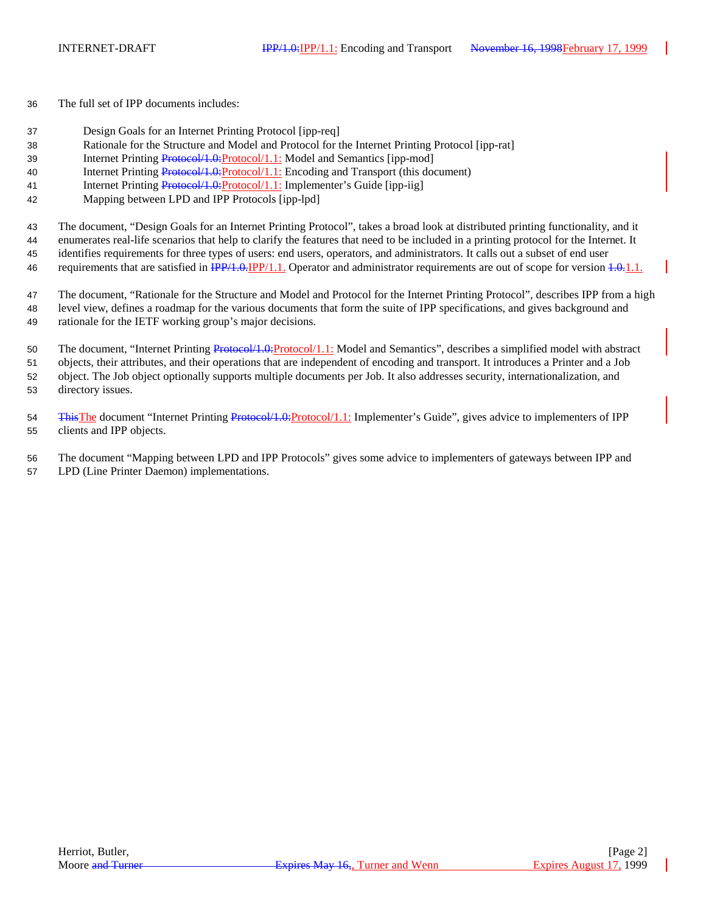The full set of IPP documents includes:

- Design Goals for an Internet Printing Protocol [ipp-req]
- Rationale for the Structure and Model and Protocol for the Internet Printing Protocol [ipp-rat]
- Internet Printing Protocol/1.0:Protocol/1.1: Model and Semantics [ipp-mod]
- 40 Internet Printing Protocol/1.0: Protocol/1.1: Encoding and Transport (this document)
- 41 Internet Printing Protocol/1.0: Protocol/1.1: Implementer's Guide [ipp-iig]
- Mapping between LPD and IPP Protocols [ipp-lpd]

The document, "Design Goals for an Internet Printing Protocol", takes a broad look at distributed printing functionality, and it

enumerates real-life scenarios that help to clarify the features that need to be included in a printing protocol for the Internet. It

identifies requirements for three types of users: end users, operators, and administrators. It calls out a subset of end user

46 requirements that are satisfied in  $\text{HP}$ /1.0.IPP/1.1. Operator and administrator requirements are out of scope for version  $1.0$ .

 The document, "Rationale for the Structure and Model and Protocol for the Internet Printing Protocol", describes IPP from a high level view, defines a roadmap for the various documents that form the suite of IPP specifications, and gives background and rationale for the IETF working group's major decisions.

50 The document, "Internet Printing Protocol/1.0:Protocol/1.1: Model and Semantics", describes a simplified model with abstract objects, their attributes, and their operations that are independent of encoding and transport. It introduces a Printer and a Job object. The Job object optionally supports multiple documents per Job. It also addresses security, internationalization, and directory issues.

54 This The document "Internet Printing Protocol/1.0: Protocol/1.1: Implementer's Guide", gives advice to implementers of IPP clients and IPP objects.

 The document "Mapping between LPD and IPP Protocols" gives some advice to implementers of gateways between IPP and LPD (Line Printer Daemon) implementations.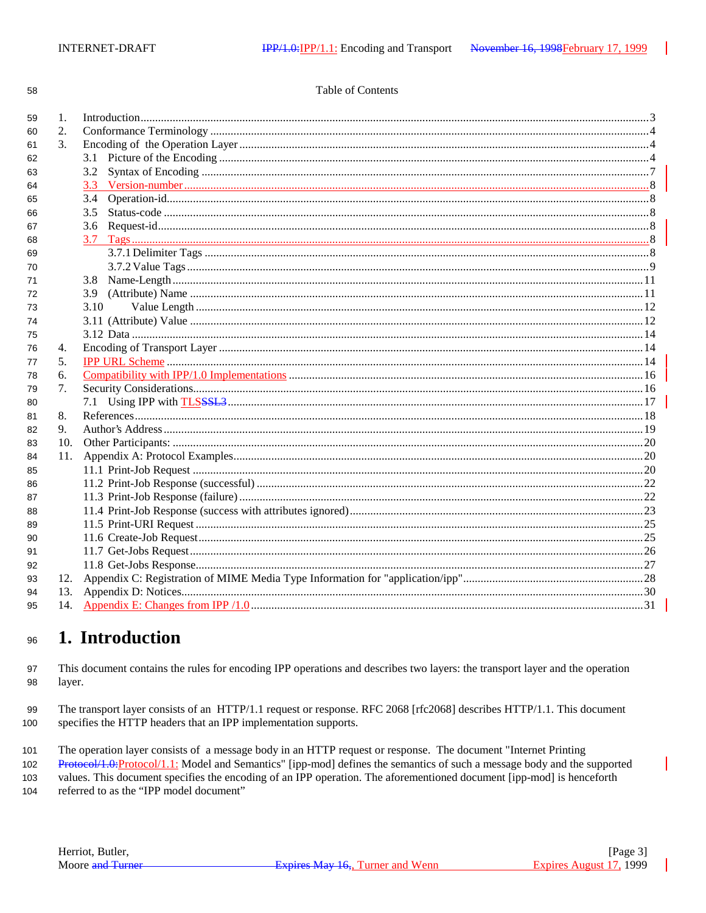58

### Table of Contents

| 59 | 1.            | Introduction 33 |  |
|----|---------------|-----------------|--|
| 60 | 2.            |                 |  |
| 61 | $\mathcal{E}$ |                 |  |
| 62 |               | 3.1             |  |
| 63 |               | 3.2             |  |
| 64 |               |                 |  |
| 65 |               | 3.4             |  |
| 66 |               | 3.5             |  |
| 67 |               | 3.6             |  |
| 68 |               |                 |  |
| 69 |               |                 |  |
| 70 |               |                 |  |
| 71 |               |                 |  |
| 72 |               | 3.9             |  |
| 73 |               | 3.10            |  |
| 74 |               |                 |  |
| 75 |               |                 |  |
| 76 | 4.            |                 |  |
| 77 | 5.            |                 |  |
| 78 | 6.            |                 |  |
| 79 | 7.            |                 |  |
| 80 |               |                 |  |
| 81 | 8.            |                 |  |
| 82 | 9.            |                 |  |
| 83 | 10.           |                 |  |
| 84 | 11.           |                 |  |
| 85 |               |                 |  |
| 86 |               |                 |  |
| 87 |               |                 |  |
| 88 |               |                 |  |
| 89 |               |                 |  |
| 90 |               |                 |  |
| 91 |               |                 |  |
| 92 |               |                 |  |
| 93 | 12.           |                 |  |
| 94 | 13.           |                 |  |
| 95 | 14.           |                 |  |
|    |               |                 |  |

#### 1. Introduction 96

This document contains the rules for encoding IPP operations and describes two layers: the transport layer and the operation 97 98 layer.

The transport layer consists of an HTTP/1.1 request or response. RFC 2068 [rfc2068] describes HTTP/1.1. This document 99 specifies the HTTP headers that an IPP implementation supports. 100

The operation layer consists of a message body in an HTTP request or response. The document "Internet Printing 101

Protocol/1.0:Protocol/1.1: Model and Semantics" [ipp-mod] defines the semantics of such a message body and the supported 102 103 values. This document specifies the encoding of an IPP operation. The aforementioned document [ipp-mod] is henceforth

104 referred to as the "IPP model document"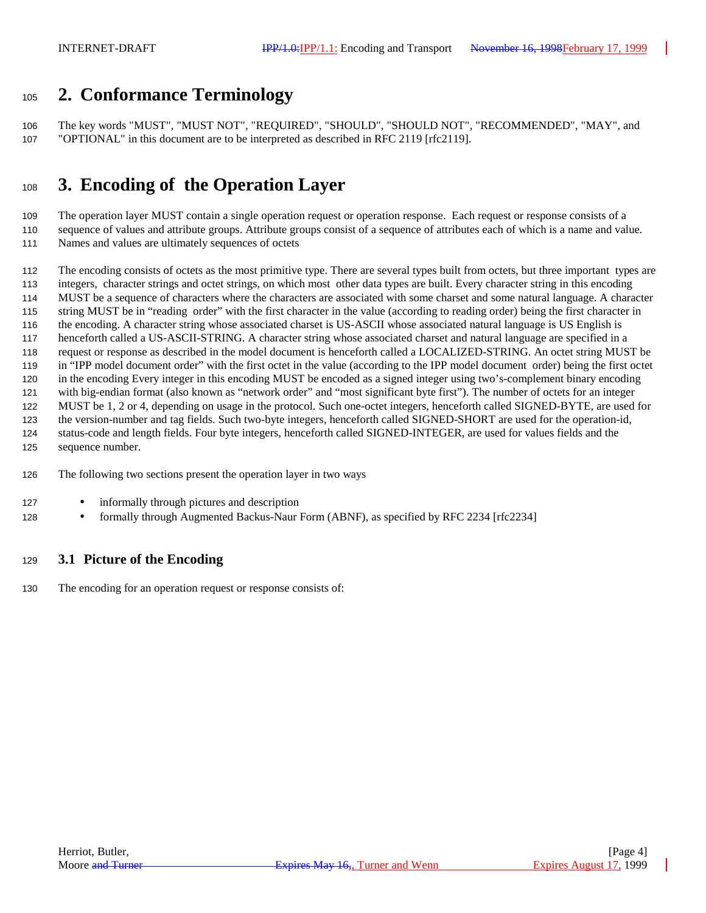# **2. Conformance Terminology**

 The key words "MUST", "MUST NOT", "REQUIRED", "SHOULD", "SHOULD NOT", "RECOMMENDED", "MAY", and "OPTIONAL" in this document are to be interpreted as described in RFC 2119 [rfc2119].

# **3. Encoding of the Operation Layer**

 The operation layer MUST contain a single operation request or operation response. Each request or response consists of a sequence of values and attribute groups. Attribute groups consist of a sequence of attributes each of which is a name and value. Names and values are ultimately sequences of octets

 The encoding consists of octets as the most primitive type. There are several types built from octets, but three important types are integers, character strings and octet strings, on which most other data types are built. Every character string in this encoding MUST be a sequence of characters where the characters are associated with some charset and some natural language. A character string MUST be in "reading order" with the first character in the value (according to reading order) being the first character in the encoding. A character string whose associated charset is US-ASCII whose associated natural language is US English is henceforth called a US-ASCII-STRING. A character string whose associated charset and natural language are specified in a request or response as described in the model document is henceforth called a LOCALIZED-STRING. An octet string MUST be in "IPP model document order" with the first octet in the value (according to the IPP model document order) being the first octet in the encoding Every integer in this encoding MUST be encoded as a signed integer using two's-complement binary encoding with big-endian format (also known as "network order" and "most significant byte first"). The number of octets for an integer MUST be 1, 2 or 4, depending on usage in the protocol. Such one-octet integers, henceforth called SIGNED-BYTE, are used for the version-number and tag fields. Such two-byte integers, henceforth called SIGNED-SHORT are used for the operation-id, status-code and length fields. Four byte integers, henceforth called SIGNED-INTEGER, are used for values fields and the sequence number.

- The following two sections present the operation layer in two ways
- 127 informally through pictures and description
- 128 formally through Augmented Backus-Naur Form (ABNF), as specified by RFC 2234 [rfc2234]

### **3.1 Picture of the Encoding**

The encoding for an operation request or response consists of: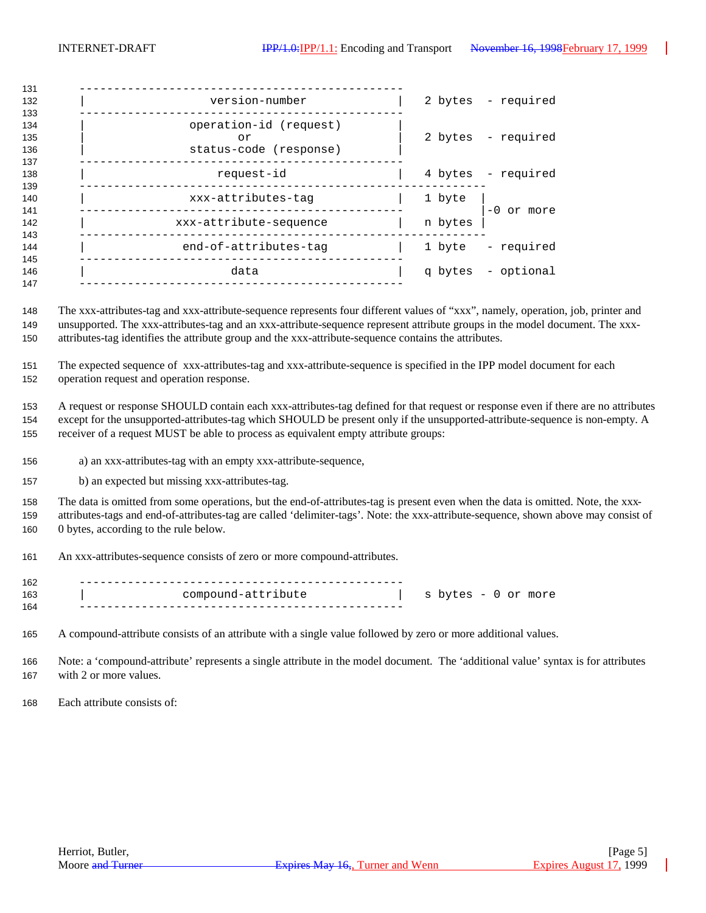| 131<br>132<br>133 | version-number                                         |         | 2 bytes - required |
|-------------------|--------------------------------------------------------|---------|--------------------|
| 134<br>135<br>136 | operation-id (request)<br>or<br>status-code (response) |         | 2 bytes - required |
| 137<br>138<br>139 | request-id                                             |         | 4 bytes - required |
| 140<br>141        | xxx-attributes-tag                                     | 1 byte  | $-0$ or more       |
| 142<br>143        | xxx-attribute-sequence                                 | n bytes |                    |
| 144<br>145        | end-of-attributes-tag                                  | 1 byte  | - required         |
| 146<br>147        | data                                                   |         | q bytes - optional |

 The xxx-attributes-tag and xxx-attribute-sequence represents four different values of "xxx", namely, operation, job, printer and unsupported. The xxx-attributes-tag and an xxx-attribute-sequence represent attribute groups in the model document. The xxx-attributes-tag identifies the attribute group and the xxx-attribute-sequence contains the attributes.

 The expected sequence of xxx-attributes-tag and xxx-attribute-sequence is specified in the IPP model document for each operation request and operation response.

 A request or response SHOULD contain each xxx-attributes-tag defined for that request or response even if there are no attributes except for the unsupported-attributes-tag which SHOULD be present only if the unsupported-attribute-sequence is non-empty. A receiver of a request MUST be able to process as equivalent empty attribute groups:

- a) an xxx-attributes-tag with an empty xxx-attribute-sequence,
- b) an expected but missing xxx-attributes-tag.

 The data is omitted from some operations, but the end-of-attributes-tag is present even when the data is omitted. Note, the xxx- attributes-tags and end-of-attributes-tag are called 'delimiter-tags'. Note: the xxx-attribute-sequence, shown above may consist of 0 bytes, according to the rule below.

An xxx-attributes-sequence consists of zero or more compound-attributes.

| 162 |                    |                     |  |
|-----|--------------------|---------------------|--|
| 163 | compound-attribute | s bytes - 0 or more |  |
| 164 |                    |                     |  |

A compound-attribute consists of an attribute with a single value followed by zero or more additional values.

 Note: a 'compound-attribute' represents a single attribute in the model document. The 'additional value' syntax is for attributes with 2 or more values.

Each attribute consists of: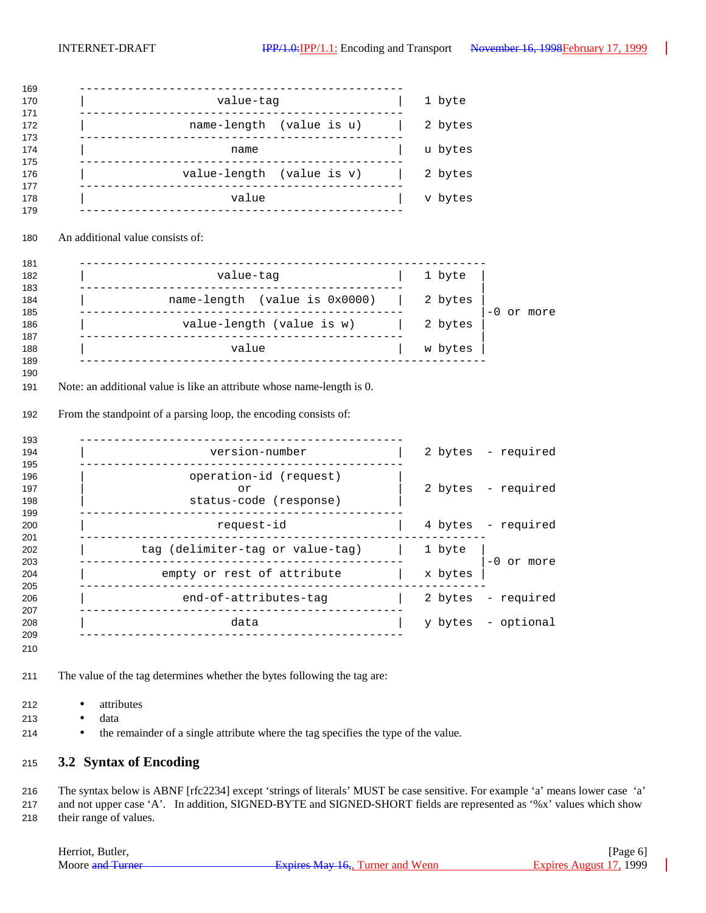|                                  | value-tag                                                                                                                                           |         | 1 byte  |                                                                |
|----------------------------------|-----------------------------------------------------------------------------------------------------------------------------------------------------|---------|---------|----------------------------------------------------------------|
|                                  | name-length (value is u)                                                                                                                            |         | 2 bytes |                                                                |
|                                  |                                                                                                                                                     |         |         |                                                                |
|                                  | name                                                                                                                                                |         | u bytes |                                                                |
|                                  | value-length (value is v)                                                                                                                           |         | 2 bytes |                                                                |
|                                  | value                                                                                                                                               |         | v bytes |                                                                |
| An additional value consists of: |                                                                                                                                                     |         |         |                                                                |
|                                  | _______________________<br>value-tag<br>--------------------------------                                                                            |         | 1 byte  |                                                                |
|                                  | $name-length$ (value is $0x0000$ )                                                                                                                  |         | 2 bytes |                                                                |
| ______________                   | ---------------------                                                                                                                               |         | 2 bytes | -0 or more                                                     |
|                                  | value-length (value is w)                                                                                                                           |         |         |                                                                |
|                                  | value<br>Note: an additional value is like an attribute whose name-length is 0.<br>From the standpoint of a parsing loop, the encoding consists of: |         | w bytes |                                                                |
| ---------------                  | -----------                                                                                                                                         |         |         |                                                                |
|                                  | version-number                                                                                                                                      |         |         |                                                                |
|                                  | operation-id (request)                                                                                                                              |         |         |                                                                |
|                                  | or<br>status-code (response)                                                                                                                        |         |         |                                                                |
|                                  | request-id                                                                                                                                          |         |         | 2 bytes - required<br>2 bytes - required<br>4 bytes - required |
|                                  | tag (delimiter-tag or value-tag)                                                                                                                    |         | 1 byte  |                                                                |
|                                  | empty or rest of attribute                                                                                                                          |         | x bytes |                                                                |
| --------------------             | end-of-attributes-tag                                                                                                                               | 2 bytes |         |                                                                |
|                                  | data                                                                                                                                                |         | y bytes | -0 or more<br>- required<br>- optional                         |

- attributes
- data
- the remainder of a single attribute where the tag specifies the type of the value.

### **3.2 Syntax of Encoding**

 The syntax below is ABNF [rfc2234] except 'strings of literals' MUST be case sensitive. For example 'a' means lower case 'a' and not upper case 'A'. In addition, SIGNED-BYTE and SIGNED-SHORT fields are represented as '%x' values which show their range of values.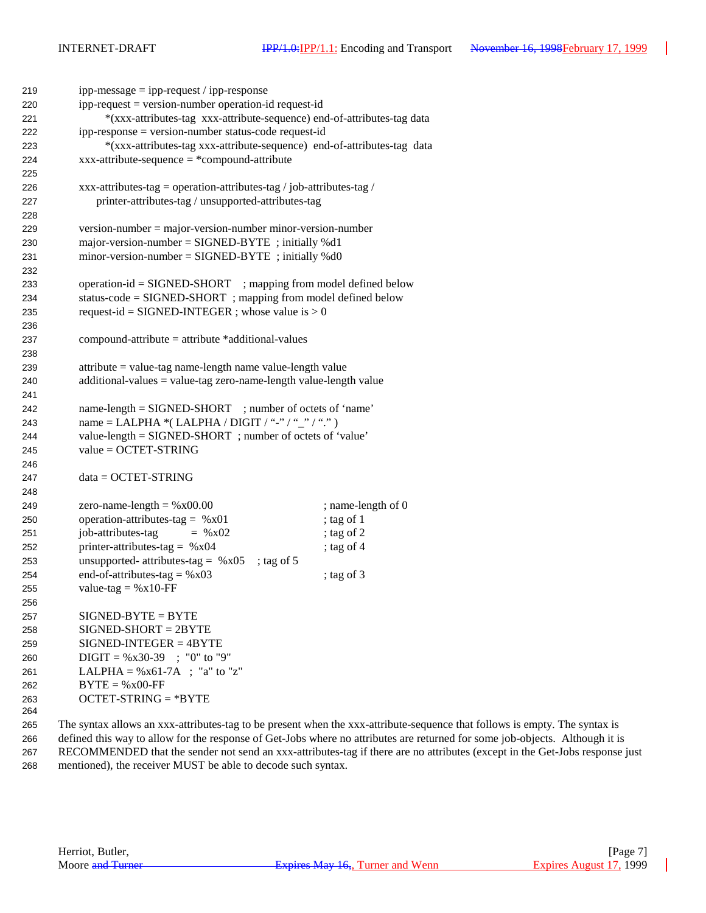| *(xxx-attributes-tag xxx-attribute-sequence) end-of-attributes-tag data |
|-------------------------------------------------------------------------|
|                                                                         |
| *(xxx-attributes-tag xxx-attribute-sequence) end-of-attributes-tag data |
|                                                                         |
|                                                                         |
|                                                                         |
|                                                                         |
|                                                                         |
|                                                                         |
|                                                                         |
|                                                                         |
|                                                                         |
| operation-id = SIGNED-SHORT ; mapping from model defined below          |
| status-code = SIGNED-SHORT; mapping from model defined below            |
|                                                                         |
|                                                                         |
|                                                                         |
|                                                                         |
|                                                                         |
| $additional-values = value-tag zero-name-length value-length value$     |
|                                                                         |
|                                                                         |
|                                                                         |
|                                                                         |
|                                                                         |
|                                                                         |
|                                                                         |
|                                                                         |
| ; name-length of 0                                                      |
|                                                                         |
|                                                                         |
|                                                                         |
|                                                                         |
|                                                                         |
|                                                                         |
|                                                                         |
|                                                                         |
|                                                                         |
|                                                                         |
|                                                                         |
|                                                                         |
|                                                                         |
|                                                                         |
|                                                                         |
|                                                                         |
|                                                                         |

ce that follows is empty. The syntax is defined this way to allow for the response of Get-Jobs where no attributes are returned for some job-objects. Although it is RECOMMENDED that the sender not send an xxx-attributes-tag if there are no attributes (except in the Get-Jobs response just mentioned), the receiver MUST be able to decode such syntax.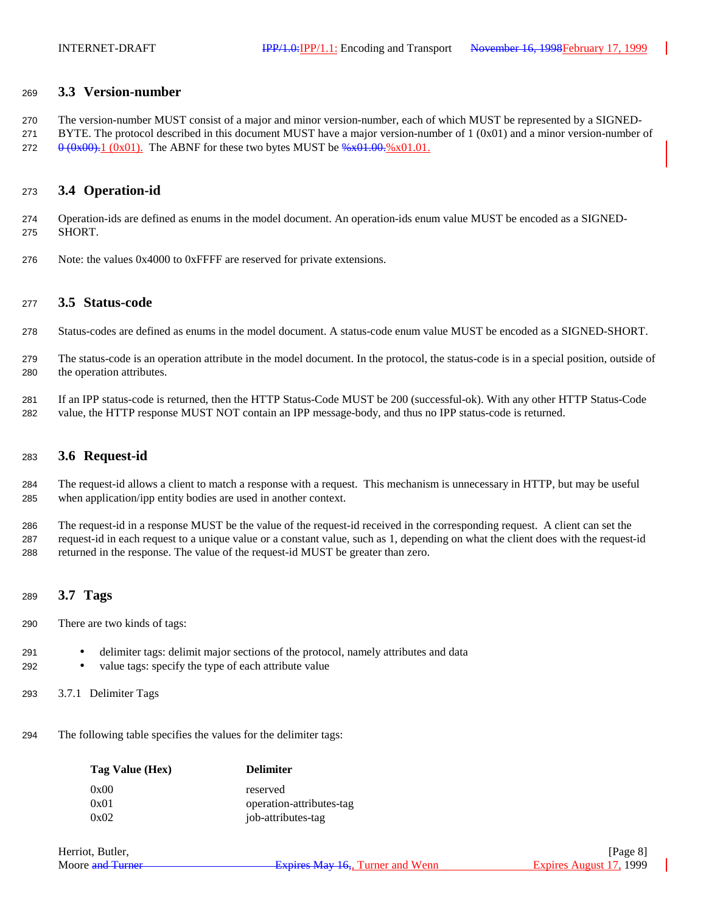### **3.3 Version-number**

The version-number MUST consist of a major and minor version-number, each of which MUST be represented by a SIGNED-

271 BYTE. The protocol described in this document MUST have a major version-number of  $1 (0x01)$  and a minor version-number of 272  $\theta + (\theta \times \theta)$ . (0x01). The ABNF for these two bytes MUST be  $\theta \times \theta$ 1.00.  $\theta \times \theta$  01.01.

### **3.4 Operation-id**

 Operation-ids are defined as enums in the model document. An operation-ids enum value MUST be encoded as a SIGNED-SHORT.

Note: the values 0x4000 to 0xFFFF are reserved for private extensions.

### **3.5 Status-code**

- Status-codes are defined as enums in the model document. A status-code enum value MUST be encoded as a SIGNED-SHORT.
- The status-code is an operation attribute in the model document. In the protocol, the status-code is in a special position, outside of the operation attributes.
- If an IPP status-code is returned, then the HTTP Status-Code MUST be 200 (successful-ok). With any other HTTP Status-Code value, the HTTP response MUST NOT contain an IPP message-body, and thus no IPP status-code is returned.

### **3.6 Request-id**

 The request-id allows a client to match a response with a request. This mechanism is unnecessary in HTTP, but may be useful when application/ipp entity bodies are used in another context.

 The request-id in a response MUST be the value of the request-id received in the corresponding request. A client can set the request-id in each request to a unique value or a constant value, such as 1, depending on what the client does with the request-id returned in the response. The value of the request-id MUST be greater than zero.

### **3.7 Tags**

- There are two kinds of tags:
- 291 delimiter tags: delimit major sections of the protocol, namely attributes and data
- value tags: specify the type of each attribute value
- 3.7.1 Delimiter Tags
- The following table specifies the values for the delimiter tags:

| Tag Value (Hex) | <b>Delimiter</b>         |
|-----------------|--------------------------|
| 0x00            | reserved                 |
| 0x01            | operation-attributes-tag |
| 0x02            | job-attributes-tag       |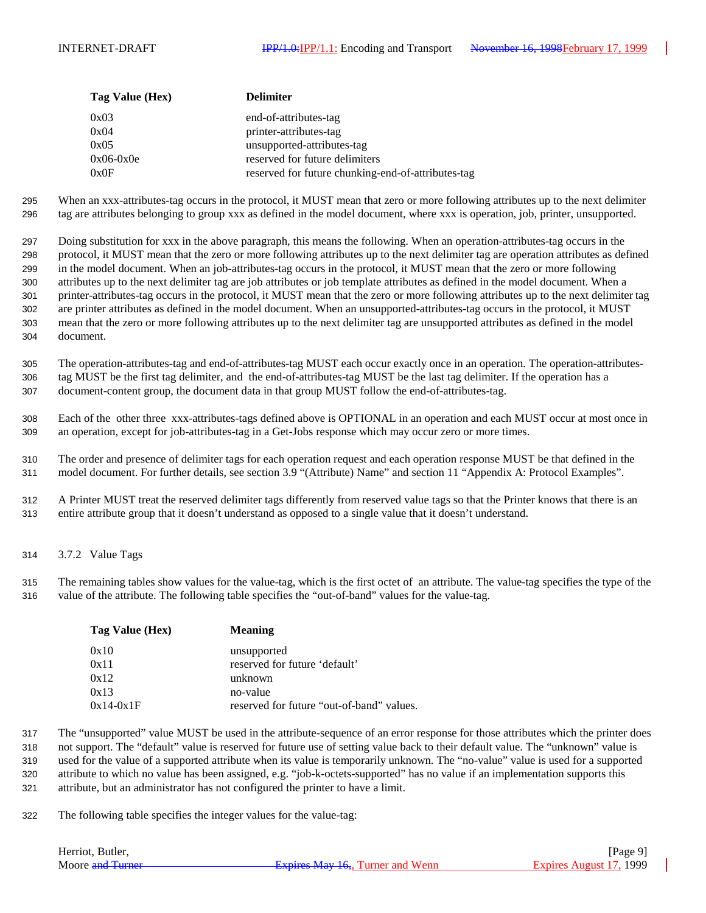| Tag Value (Hex) | <b>Delimiter</b>                                   |
|-----------------|----------------------------------------------------|
| 0x03            | end-of-attributes-tag                              |
| 0x04            | printer-attributes-tag                             |
| 0x05            | unsupported-attributes-tag                         |
| $0x06-0x0e$     | reserved for future delimiters                     |
| 0x0F            | reserved for future chunking-end-of-attributes-tag |

 When an xxx-attributes-tag occurs in the protocol, it MUST mean that zero or more following attributes up to the next delimiter tag are attributes belonging to group xxx as defined in the model document, where xxx is operation, job, printer, unsupported.

 Doing substitution for xxx in the above paragraph, this means the following. When an operation-attributes-tag occurs in the protocol, it MUST mean that the zero or more following attributes up to the next delimiter tag are operation attributes as defined in the model document. When an job-attributes-tag occurs in the protocol, it MUST mean that the zero or more following attributes up to the next delimiter tag are job attributes or job template attributes as defined in the model document. When a printer-attributes-tag occurs in the protocol, it MUST mean that the zero or more following attributes up to the next delimiter tag are printer attributes as defined in the model document. When an unsupported-attributes-tag occurs in the protocol, it MUST mean that the zero or more following attributes up to the next delimiter tag are unsupported attributes as defined in the model document.

 The operation-attributes-tag and end-of-attributes-tag MUST each occur exactly once in an operation. The operation-attributes- tag MUST be the first tag delimiter, and the end-of-attributes-tag MUST be the last tag delimiter. If the operation has a document-content group, the document data in that group MUST follow the end-of-attributes-tag.

 Each of the other three xxx-attributes-tags defined above is OPTIONAL in an operation and each MUST occur at most once in an operation, except for job-attributes-tag in a Get-Jobs response which may occur zero or more times.

 The order and presence of delimiter tags for each operation request and each operation response MUST be that defined in the model document. For further details, see section 3.9 "(Attribute) Name" and section 11 "Appendix A: Protocol Examples".

 A Printer MUST treat the reserved delimiter tags differently from reserved value tags so that the Printer knows that there is an entire attribute group that it doesn't understand as opposed to a single value that it doesn't understand.

3.7.2 Value Tags

 The remaining tables show values for the value-tag, which is the first octet of an attribute. The value-tag specifies the type of the value of the attribute. The following table specifies the "out-of-band" values for the value-tag.

| Tag Value (Hex) | <b>Meaning</b>                            |
|-----------------|-------------------------------------------|
| 0x10            | unsupported                               |
| 0x11            | reserved for future 'default'             |
| 0x12            | unknown                                   |
| 0x13            | no-value                                  |
| $0x14-0x1F$     | reserved for future "out-of-band" values. |

 The "unsupported" value MUST be used in the attribute-sequence of an error response for those attributes which the printer does not support. The "default" value is reserved for future use of setting value back to their default value. The "unknown" value is used for the value of a supported attribute when its value is temporarily unknown. The "no-value" value is used for a supported attribute to which no value has been assigned, e.g. "job-k-octets-supported" has no value if an implementation supports this attribute, but an administrator has not configured the printer to have a limit.

The following table specifies the integer values for the value-tag: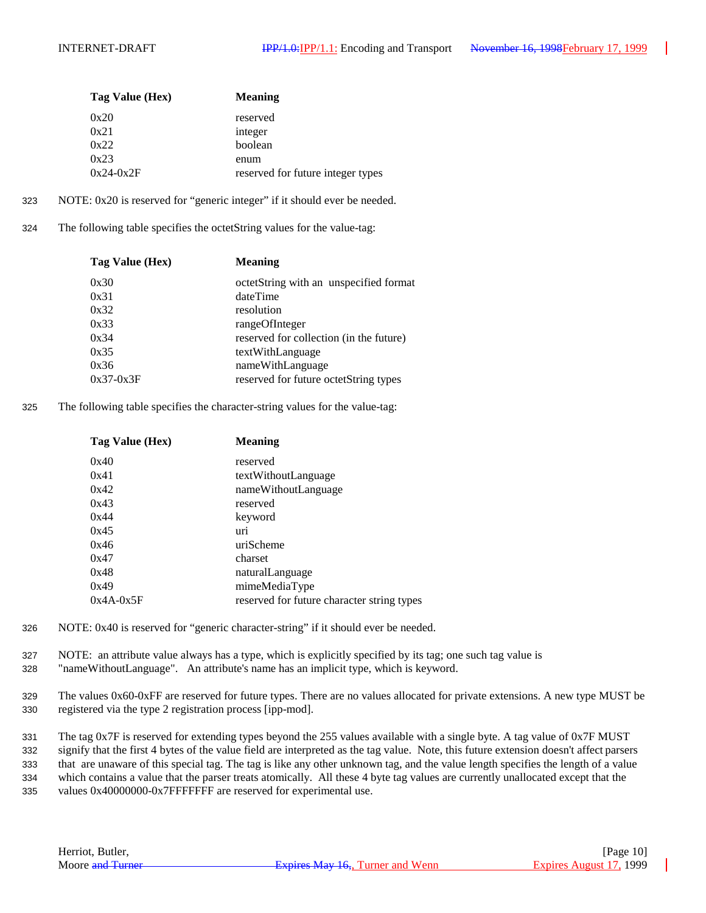| Tag Value (Hex) | <b>Meaning</b>                    |
|-----------------|-----------------------------------|
| 0x20            | reserved                          |
| 0x21            | integer                           |
| 0x22            | boolean                           |
| 0x23            | enum                              |
| $0x24-0x2F$     | reserved for future integer types |

- 323 NOTE: 0x20 is reserved for "generic integer" if it should ever be needed.
- 324 The following table specifies the octetString values for the value-tag:

| Tag Value (Hex) | <b>Meaning</b>                          |
|-----------------|-----------------------------------------|
| 0x30            | octetString with an unspecified format  |
| 0x31            | dateTime                                |
| 0x32            | resolution                              |
| 0x33            | rangeOfInteger                          |
| 0x34            | reserved for collection (in the future) |
| 0x35            | textWithLanguage                        |
| 0x36            | nameWithLanguage                        |
| $0x37-0x3F$     | reserved for future octetString types   |
|                 |                                         |

325 The following table specifies the character-string values for the value-tag:

| Tag Value (Hex) | <b>Meaning</b>                             |
|-----------------|--------------------------------------------|
| 0x40            | reserved                                   |
| 0x41            | textWithoutLanguage                        |
| 0x42            | nameWithoutLanguage                        |
| 0x43            | reserved                                   |
| 0x44            | keyword                                    |
| 0x45            | uri                                        |
| 0x46            | uriScheme                                  |
| 0x47            | charset                                    |
| 0x48            | naturalLanguage                            |
| 0x49            | mimeMediaType                              |
| $0x4A-0x5F$     | reserved for future character string types |

- 326 NOTE: 0x40 is reserved for "generic character-string" if it should ever be needed.
- 327 NOTE: an attribute value always has a type, which is explicitly specified by its tag; one such tag value is 328 "nameWithoutLanguage". An attribute's name has an implicit type, which is keyword.
- 329 The values 0x60-0xFF are reserved for future types. There are no values allocated for private extensions. A new type MUST be 330 registered via the type 2 registration process [ipp-mod].

 The tag 0x7F is reserved for extending types beyond the 255 values available with a single byte. A tag value of 0x7F MUST signify that the first 4 bytes of the value field are interpreted as the tag value. Note, this future extension doesn't affect parsers that are unaware of this special tag. The tag is like any other unknown tag, and the value length specifies the length of a value which contains a value that the parser treats atomically. All these 4 byte tag values are currently unallocated except that the values 0x40000000-0x7FFFFFFF are reserved for experimental use.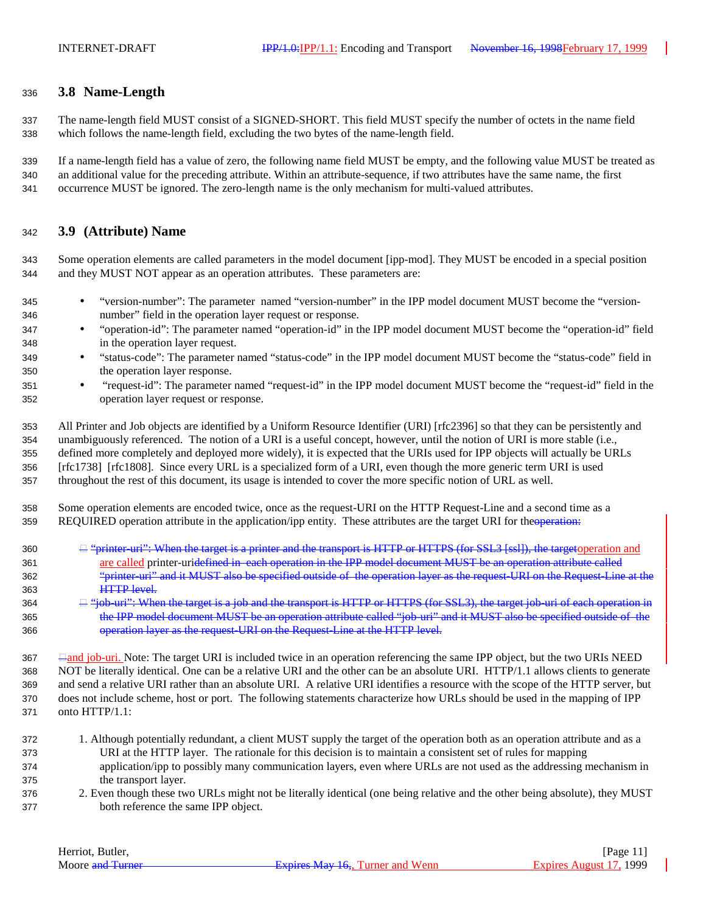### **3.8 Name-Length**

 The name-length field MUST consist of a SIGNED-SHORT. This field MUST specify the number of octets in the name field which follows the name-length field, excluding the two bytes of the name-length field.

 If a name-length field has a value of zero, the following name field MUST be empty, and the following value MUST be treated as an additional value for the preceding attribute. Within an attribute-sequence, if two attributes have the same name, the first occurrence MUST be ignored. The zero-length name is the only mechanism for multi-valued attributes.

### **3.9 (Attribute) Name**

 Some operation elements are called parameters in the model document [ipp-mod]. They MUST be encoded in a special position and they MUST NOT appear as an operation attributes. These parameters are:

- "version-number": The parameter named "version-number" in the IPP model document MUST become the "version-number" field in the operation layer request or response.
- "operation-id": The parameter named "operation-id" in the IPP model document MUST become the "operation-id" field in the operation layer request.
- "status-code": The parameter named "status-code" in the IPP model document MUST become the "status-code" field in the operation layer response.
- "request-id": The parameter named "request-id" in the IPP model document MUST become the "request-id" field in the operation layer request or response.

 All Printer and Job objects are identified by a Uniform Resource Identifier (URI) [rfc2396] so that they can be persistently and unambiguously referenced. The notion of a URI is a useful concept, however, until the notion of URI is more stable (i.e., defined more completely and deployed more widely), it is expected that the URIs used for IPP objects will actually be URLs [rfc1738] [rfc1808]. Since every URL is a specialized form of a URI, even though the more generic term URI is used throughout the rest of this document, its usage is intended to cover the more specific notion of URL as well.

 Some operation elements are encoded twice, once as the request-URI on the HTTP Request-Line and a second time as a 359 REQUIRED operation attribute in the application/ipp entity. These attributes are the target URI for the operation:

- **E** "printer-uri": When the target is a printer and the transport is HTTP or HTTPS (for SSL3 [ssl]), the targetoperation and 361 are called printer-uridefined in each operation in the IPP model document MUST be an operation attribute called "printer-uri" and it MUST also be specified outside of the operation layer as the request-URI on the Request-Line at the HTTP level.
- **+ "job-uri": When the target is a job and the transport is HTTP or HTTPS (for SSL3), the target job-uri of each operation in** 365 the IPP model document MUST be an operation attribute called "job-uri" and it MUST also be specified outside operation layer as the request-URI on the Request-Line at the HTTP level.
- 367  $\Box$  and job-uri. Note: The target URI is included twice in an operation referencing the same IPP object, but the two URIs NEED NOT be literally identical. One can be a relative URI and the other can be an absolute URI. HTTP/1.1 allows clients to generate and send a relative URI rather than an absolute URI. A relative URI identifies a resource with the scope of the HTTP server, but does not include scheme, host or port. The following statements characterize how URLs should be used in the mapping of IPP onto HTTP/1.1:
- 1. Although potentially redundant, a client MUST supply the target of the operation both as an operation attribute and as a URI at the HTTP layer. The rationale for this decision is to maintain a consistent set of rules for mapping application/ipp to possibly many communication layers, even where URLs are not used as the addressing mechanism in the transport layer.
- 2. Even though these two URLs might not be literally identical (one being relative and the other being absolute), they MUST both reference the same IPP object.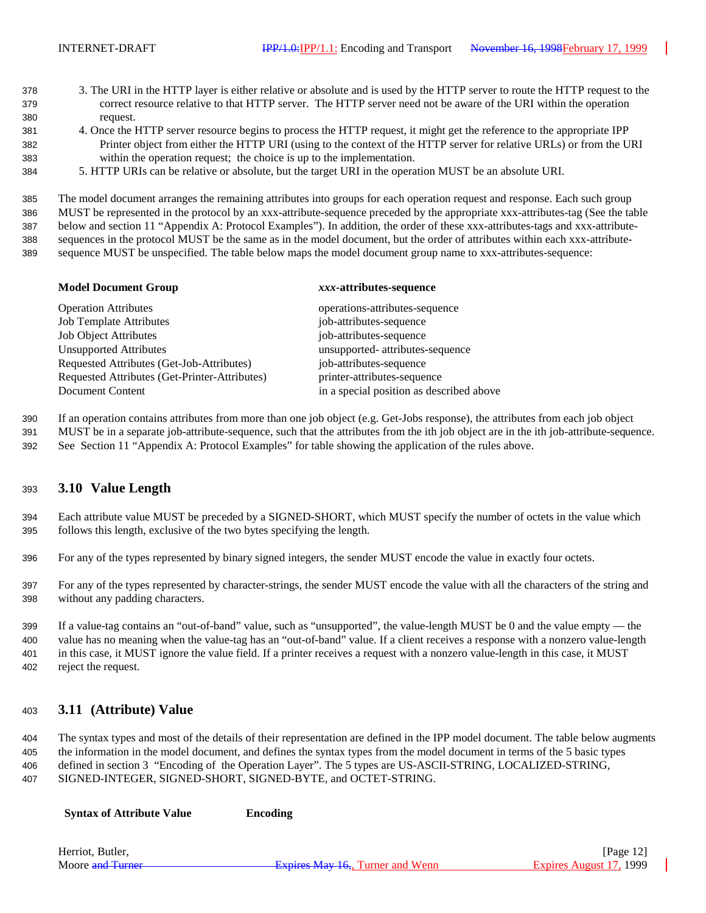- 3. The URI in the HTTP layer is either relative or absolute and is used by the HTTP server to route the HTTP request to the correct resource relative to that HTTP server. The HTTP server need not be aware of the URI within the operation request.
- 4. Once the HTTP server resource begins to process the HTTP request, it might get the reference to the appropriate IPP Printer object from either the HTTP URI (using to the context of the HTTP server for relative URLs) or from the URI within the operation request; the choice is up to the implementation.
- 5. HTTP URIs can be relative or absolute, but the target URI in the operation MUST be an absolute URI.

 The model document arranges the remaining attributes into groups for each operation request and response. Each such group MUST be represented in the protocol by an xxx-attribute-sequence preceded by the appropriate xxx-attributes-tag (See the table below and section 11 "Appendix A: Protocol Examples"). In addition, the order of these xxx-attributes-tags and xxx-attribute- sequences in the protocol MUST be the same as in the model document, but the order of attributes within each xxx-attribute-sequence MUST be unspecified. The table below maps the model document group name to xxx-attributes-sequence:

| <b>Model Document Group</b>                   | xxx-attributes-sequence                  |
|-----------------------------------------------|------------------------------------------|
| <b>Operation Attributes</b>                   | operations-attributes-sequence           |
| <b>Job Template Attributes</b>                | job-attributes-sequence                  |
| <b>Job Object Attributes</b>                  | job-attributes-sequence                  |
| <b>Unsupported Attributes</b>                 | unsupported- attributes-sequence         |
| Requested Attributes (Get-Job-Attributes)     | job-attributes-sequence                  |
| Requested Attributes (Get-Printer-Attributes) | printer-attributes-sequence              |
| Document Content                              | in a special position as described above |

If an operation contains attributes from more than one job object (e.g. Get-Jobs response), the attributes from each job object

MUST be in a separate job-attribute-sequence, such that the attributes from the ith job object are in the ith job-attribute-sequence.

See Section 11 "Appendix A: Protocol Examples" for table showing the application of the rules above.

### **3.10 Value Length**

 Each attribute value MUST be preceded by a SIGNED-SHORT, which MUST specify the number of octets in the value which follows this length, exclusive of the two bytes specifying the length.

For any of the types represented by binary signed integers, the sender MUST encode the value in exactly four octets.

 For any of the types represented by character-strings, the sender MUST encode the value with all the characters of the string and without any padding characters.

 If a value-tag contains an "out-of-band" value, such as "unsupported", the value-length MUST be 0 and the value empty — the value has no meaning when the value-tag has an "out-of-band" value. If a client receives a response with a nonzero value-length in this case, it MUST ignore the value field. If a printer receives a request with a nonzero value-length in this case, it MUST reject the request.

### **3.11 (Attribute) Value**

 The syntax types and most of the details of their representation are defined in the IPP model document. The table below augments the information in the model document, and defines the syntax types from the model document in terms of the 5 basic types defined in section 3 "Encoding of the Operation Layer". The 5 types are US-ASCII-STRING, LOCALIZED-STRING, SIGNED-INTEGER, SIGNED-SHORT, SIGNED-BYTE, and OCTET-STRING.

**Syntax of Attribute Value Encoding**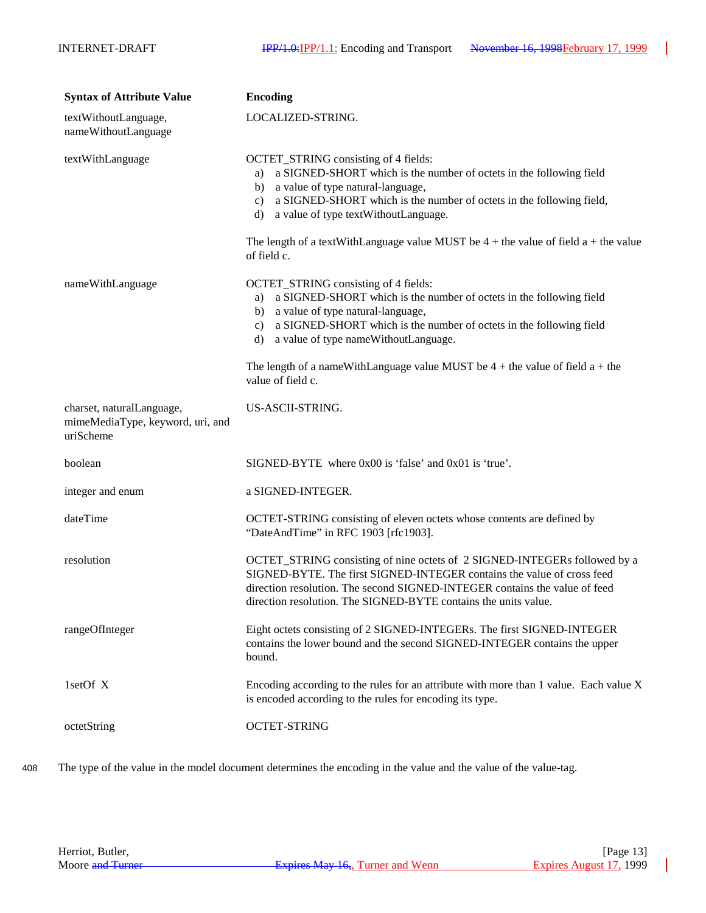| <b>Syntax of Attribute Value</b>                                           | <b>Encoding</b>                                                                                                                                                                                                                                                                                                                                                           |
|----------------------------------------------------------------------------|---------------------------------------------------------------------------------------------------------------------------------------------------------------------------------------------------------------------------------------------------------------------------------------------------------------------------------------------------------------------------|
| textWithoutLanguage,<br>nameWithoutLanguage                                | LOCALIZED-STRING.                                                                                                                                                                                                                                                                                                                                                         |
| textWithLanguage                                                           | OCTET_STRING consisting of 4 fields:<br>a SIGNED-SHORT which is the number of octets in the following field<br>a)<br>b) a value of type natural-language,<br>a SIGNED-SHORT which is the number of octets in the following field,<br>c)<br>a value of type textWithoutLanguage.<br>d)                                                                                     |
|                                                                            | The length of a textWithLanguage value MUST be $4 +$ the value of field a + the value<br>of field c.                                                                                                                                                                                                                                                                      |
| nameWithLanguage                                                           | OCTET_STRING consisting of 4 fields:<br>a SIGNED-SHORT which is the number of octets in the following field<br>a)<br>b) a value of type natural-language,<br>a SIGNED-SHORT which is the number of octets in the following field<br>c)<br>a value of type nameWithoutLanguage.<br>d)<br>The length of a nameWithLanguage value MUST be $4 +$ the value of field $a +$ the |
|                                                                            | value of field c.                                                                                                                                                                                                                                                                                                                                                         |
| charset, naturalLanguage,<br>mimeMediaType, keyword, uri, and<br>uriScheme | US-ASCII-STRING.                                                                                                                                                                                                                                                                                                                                                          |
| boolean                                                                    | SIGNED-BYTE where 0x00 is 'false' and 0x01 is 'true'.                                                                                                                                                                                                                                                                                                                     |
| integer and enum                                                           | a SIGNED-INTEGER.                                                                                                                                                                                                                                                                                                                                                         |
| dateTime                                                                   | OCTET-STRING consisting of eleven octets whose contents are defined by<br>"DateAndTime" in RFC 1903 [rfc1903].                                                                                                                                                                                                                                                            |
| resolution                                                                 | OCTET_STRING consisting of nine octets of 2 SIGNED-INTEGERs followed by a<br>SIGNED-BYTE. The first SIGNED-INTEGER contains the value of cross feed<br>direction resolution. The second SIGNED-INTEGER contains the value of feed<br>direction resolution. The SIGNED-BYTE contains the units value.                                                                      |
| rangeOfInteger                                                             | Eight octets consisting of 2 SIGNED-INTEGERs. The first SIGNED-INTEGER<br>contains the lower bound and the second SIGNED-INTEGER contains the upper<br>bound.                                                                                                                                                                                                             |
| 1setOf X                                                                   | Encoding according to the rules for an attribute with more than 1 value. Each value X<br>is encoded according to the rules for encoding its type.                                                                                                                                                                                                                         |
| octetString                                                                | <b>OCTET-STRING</b>                                                                                                                                                                                                                                                                                                                                                       |

408 The type of the value in the model document determines the encoding in the value and the value of the value-tag.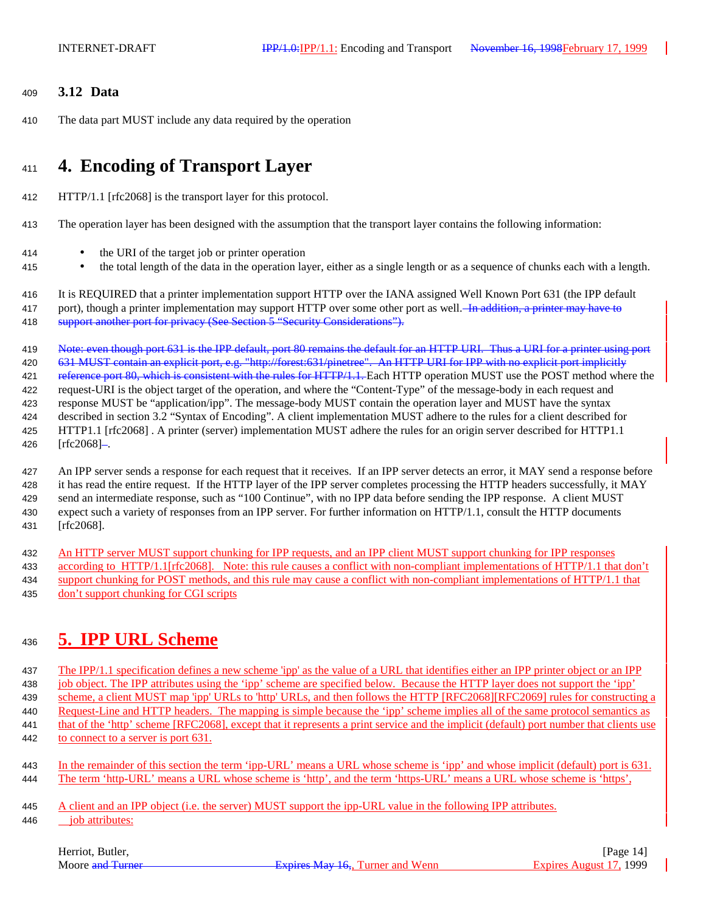### **3.12 Data**

The data part MUST include any data required by the operation

# **4. Encoding of Transport Layer**

- HTTP/1.1 [rfc2068] is the transport layer for this protocol.
- The operation layer has been designed with the assumption that the transport layer contains the following information:
- the URI of the target job or printer operation
- <sup>415</sup> the total length of the data in the operation layer, either as a single length or as a sequence of chunks each with a length.

 It is REQUIRED that a printer implementation support HTTP over the IANA assigned Well Known Port 631 (the IPP default 417 port), though a printer implementation may support HTTP over some other port as well. In addition, a printer may have to 418 support another port for privacy (See Section 5 "Security Considerations").

419 Note: even though port 631 is the IPP default, port 80 remains the default for an HTTP URI. Thus a URI for a printer using port 420 631 MUST contain an explicit port, e.g. "http://forest:631/pinetree". An HTTP URI for IPP with no explicit port implicitly 421 reference port 80, which is consistent with the rules for HTTP/1.1. Each HTTP operation MUST use the POST method where the request-URI is the object target of the operation, and where the "Content-Type" of the message-body in each request and response MUST be "application/ipp". The message-body MUST contain the operation layer and MUST have the syntax described in section 3.2 "Syntax of Encoding". A client implementation MUST adhere to the rules for a client described for HTTP1.1 [rfc2068] . A printer (server) implementation MUST adhere the rules for an origin server described for HTTP1.1  $[rfc2068]$ -.

 An IPP server sends a response for each request that it receives. If an IPP server detects an error, it MAY send a response before it has read the entire request. If the HTTP layer of the IPP server completes processing the HTTP headers successfully, it MAY send an intermediate response, such as "100 Continue", with no IPP data before sending the IPP response. A client MUST expect such a variety of responses from an IPP server. For further information on HTTP/1.1, consult the HTTP documents [rfc2068].

 An HTTP server MUST support chunking for IPP requests, and an IPP client MUST support chunking for IPP responses according to HTTP/1.1[rfc2068]. Note: this rule causes a conflict with non-compliant implementations of HTTP/1.1 that don't support chunking for POST methods, and this rule may cause a conflict with non-compliant implementations of HTTP/1.1 that don't support chunking for CGI scripts

# **5. IPP URL Scheme**

437 The IPP/1.1 specification defines a new scheme 'ipp' as the value of a URL that identifies either an IPP printer object or an IPP job object. The IPP attributes using the 'ipp' scheme are specified below. Because the HTTP layer does not support the 'ipp' scheme, a client MUST map 'ipp' URLs to 'http' URLs, and then follows the HTTP [RFC2068][RFC2069] rules for constructing a Request-Line and HTTP headers. The mapping is simple because the 'ipp' scheme implies all of the same protocol semantics as that of the 'http' scheme [RFC2068], except that it represents a print service and the implicit (default) port number that clients use to connect to a server is port 631.

 In the remainder of this section the term 'ipp-URL' means a URL whose scheme is 'ipp' and whose implicit (default) port is 631. The term 'http-URL' means a URL whose scheme is 'http', and the term 'https-URL' means a URL whose scheme is 'https',

A client and an IPP object (i.e. the server) MUST support the ipp-URL value in the following IPP attributes.

job attributes: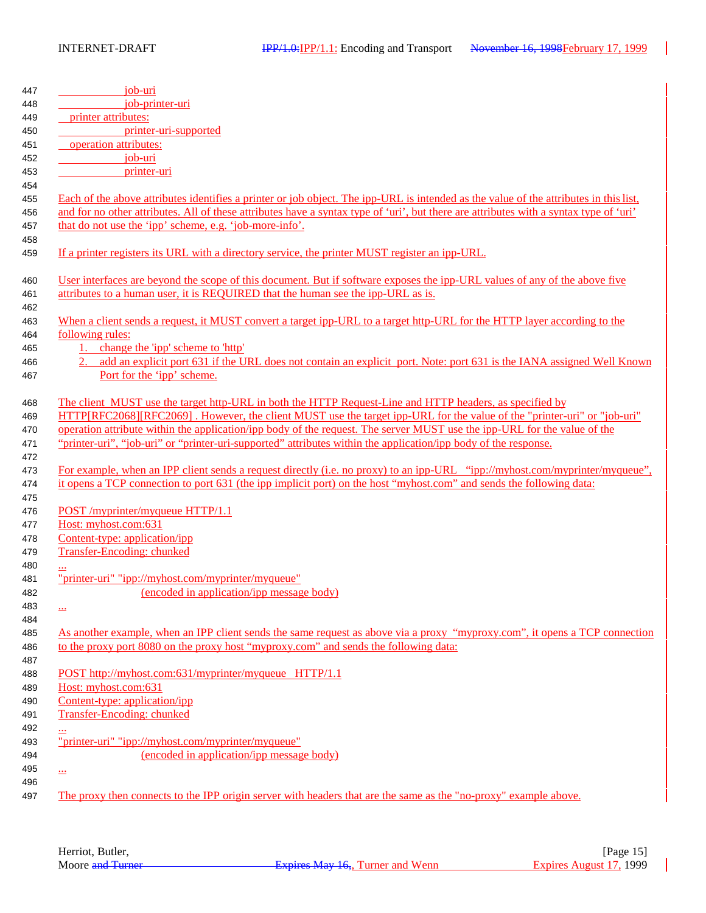| job-uri                                                                                                                                |
|----------------------------------------------------------------------------------------------------------------------------------------|
| job-printer-uri                                                                                                                        |
| printer attributes:                                                                                                                    |
| printer-uri-supported                                                                                                                  |
| operation attributes:                                                                                                                  |
| job-uri                                                                                                                                |
| printer-uri                                                                                                                            |
| Each of the above attributes identifies a printer or job object. The ipp-URL is intended as the value of the attributes in this list,  |
| and for no other attributes. All of these attributes have a syntax type of 'uri', but there are attributes with a syntax type of 'uri' |
| that do not use the 'ipp' scheme, e.g. 'job-more-info'.                                                                                |
| If a printer registers its URL with a directory service, the printer MUST register an ipp-URL.                                         |
| User interfaces are beyond the scope of this document. But if software exposes the ipp-URL values of any of the above five             |
| attributes to a human user, it is REQUIRED that the human see the ipp-URL as is.                                                       |
| When a client sends a request, it MUST convert a target ipp-URL to a target http-URL for the HTTP layer according to the               |
| following rules:                                                                                                                       |
| 1. change the 'ipp' scheme to 'http'                                                                                                   |
| 2. add an explicit port 631 if the URL does not contain an explicit port. Note: port 631 is the IANA assigned Well Known               |
| Port for the 'ipp' scheme.                                                                                                             |
| The client MUST use the target http-URL in both the HTTP Request-Line and HTTP headers, as specified by                                |
| HTTP[RFC2068][RFC2069]. However, the client MUST use the target ipp-URL for the value of the "printer-uri" or "job-uri"                |
| operation attribute within the application/ipp body of the request. The server MUST use the ipp-URL for the value of the               |
| "printer-uri", "job-uri" or "printer-uri-supported" attributes within the application/ipp body of the response.                        |
| For example, when an IPP client sends a request directly (i.e. no proxy) to an ipp-URL "ipp://myhost.com/myprinter/myqueue",           |
| it opens a TCP connection to port 631 (the ipp implicit port) on the host "myhost.com" and sends the following data:                   |
| POST /myprinter/myqueue HTTP/1.1                                                                                                       |
| Host: myhost.com:631                                                                                                                   |
| Content-type: application/ipp                                                                                                          |
| <b>Transfer-Encoding: chunked</b>                                                                                                      |
|                                                                                                                                        |
| "printer-uri" "ipp://myhost.com/myprinter/myqueue"                                                                                     |
| (encoded in application/ipp message body)                                                                                              |
| $\overline{\phantom{a}}$                                                                                                               |
|                                                                                                                                        |
| As another example, when an IPP client sends the same request as above via a proxy "myproxy.com", it opens a TCP connection            |
| to the proxy port 8080 on the proxy host "myproxy.com" and sends the following data:                                                   |
| POST http://myhost.com:631/myprinter/myqueue HTTP/1.1                                                                                  |
| Host: myhost.com:631                                                                                                                   |
| Content-type: application/ipp                                                                                                          |
| <b>Transfer-Encoding: chunked</b><br>$\overline{\phantom{a}}$                                                                          |
| "printer-uri" "ipp://myhost.com/myprinter/myqueue"                                                                                     |
| (encoded in application/ipp message body)                                                                                              |
| $\underline{\cdots}$                                                                                                                   |
| The proxy then connects to the IPP origin server with headers that are the same as the "no-proxy" example above.                       |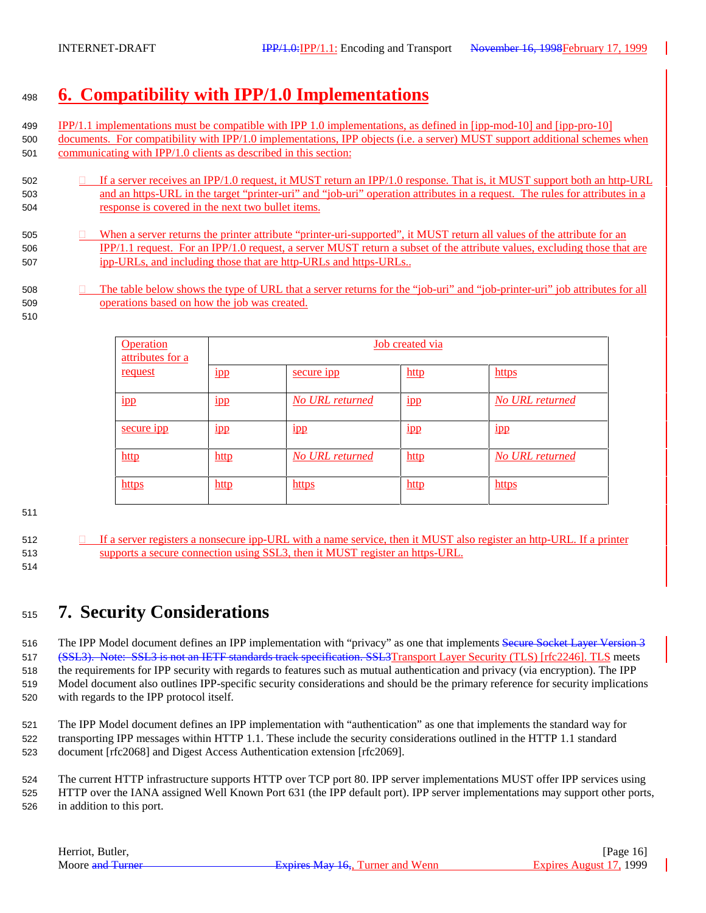# **6. Compatibility with IPP/1.0 Implementations**

 IPP/1.1 implementations must be compatible with IPP 1.0 implementations, as defined in [ipp-mod-10] and [ipp-pro-10] documents. For compatibility with IPP/1.0 implementations, IPP objects (i.e. a server) MUST support additional schemes when communicating with IPP/1.0 clients as described in this section:

- 502 If a server receives an IPP/1.0 request, it MUST return an IPP/1.0 response. That is, it MUST support both an http-URL and an https-URL in the target "printer-uri" and "job-uri" operation attributes in a request. The rules for attributes in a response is covered in the next two bullet items.
- 505 When a server returns the printer attribute "printer-uri-supported", it MUST return all values of the attribute for an IPP/1.1 request. For an IPP/1.0 request, a server MUST return a subset of the attribute values, excluding those that are ipp-URLs, and including those that are http-URLs and https-URLs..
- 508 The table below shows the type of URL that a server returns for the "job-uri" and "job-printer-uri" job attributes for all operations based on how the job was created.
- 

| <b>Operation</b><br>attributes for a | Job created via       |                 |              |                 |
|--------------------------------------|-----------------------|-----------------|--------------|-----------------|
| request                              | $\blacksquare$<br>1pp | secure 1pp      | http         | https           |
| 1pp                                  | 1pp                   | No URL returned | $_{\rm 1pp}$ | No URL returned |
| secure <sub>1pp</sub>                | 1pp                   | 1pp             | $_{\rm ipp}$ | 1pp             |
| http                                 | http                  | No URL returned | $http$       | No URL returned |
| https                                | http                  | https           | http         | https           |

**If a server registers a nonsecure ipp-URL with a name service, then it MUST also register an http-URL. If a printer** supports a secure connection using SSL3, then it MUST register an https-URL.

# **7. Security Considerations**

516 The IPP Model document defines an IPP implementation with "privacy" as one that implements Secure Socket Layer Version 3 517 (SSL3). Note: SSL3 is not an IETF standards track specification. SSL3Transport Layer Security (TLS) [rfc2246]. TLS meets the requirements for IPP security with regards to features such as mutual authentication and privacy (via encryption). The IPP Model document also outlines IPP-specific security considerations and should be the primary reference for security implications with regards to the IPP protocol itself.

 The IPP Model document defines an IPP implementation with "authentication" as one that implements the standard way for transporting IPP messages within HTTP 1.1. These include the security considerations outlined in the HTTP 1.1 standard document [rfc2068] and Digest Access Authentication extension [rfc2069].

 The current HTTP infrastructure supports HTTP over TCP port 80. IPP server implementations MUST offer IPP services using HTTP over the IANA assigned Well Known Port 631 (the IPP default port). IPP server implementations may support other ports, in addition to this port.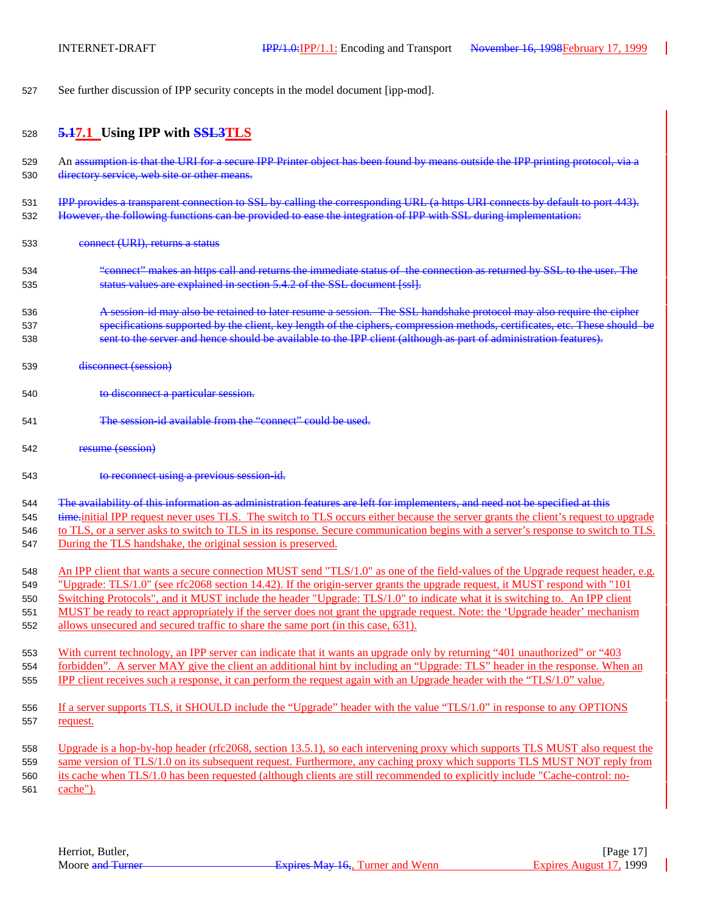See further discussion of IPP security concepts in the model document [ipp-mod].

### **5.17.1 Using IPP with SSL3TLS**

- 529 An assumption is that the URI for a secure IPP Printer object has been found by means outside the IPP printing protocol, via a directory service, web site or other means.
- 531 IPP provides a transparent connection to SSL by calling the corresponding URL (a https URI connects by default to port 443). However, the following functions can be provided to ease the integration of IPP with SSL during implementation:
- connect (URI), returns a status
- "connect" makes an https call and returns the immediate status of the connection as returned by SSL to the user. The status values are explained in section 5.4.2 of the SSL document [ssl].
- 536 A session-id may also be retained to later resume a session. The SSL handshake protocol may also require the cipher specifications supported by the client, key length of the ciphers, compression methods, certificates, etc. These should be sent to the server and hence should be available to the IPP client (although as part of administration features).
- disconnect (session)
- to disconnect a particular session.
- The session-id available from the "connect" could be used.
- resume (session)
- to reconnect using a previous session-id.
- The availability of this information as administration features are left for implementers, and need not be specified at this
- 545 time-initial IPP request never uses TLS. The switch to TLS occurs either because the server grants the client's request to upgrade to TLS, or a server asks to switch to TLS in its response. Secure communication begins with a server's response to switch to TLS. During the TLS handshake, the original session is preserved.
- 548 An IPP client that wants a secure connection MUST send "TLS/1.0" as one of the field-values of the Upgrade request header, e.g.
- "Upgrade: TLS/1.0" (see rfc2068 section 14.42). If the origin-server grants the upgrade request, it MUST respond with "101
- Switching Protocols", and it MUST include the header "Upgrade: TLS/1.0" to indicate what it is switching to. An IPP client MUST be ready to react appropriately if the server does not grant the upgrade request. Note: the 'Upgrade header' mechanism
- allows unsecured and secured traffic to share the same port (in this case, 631).

### With current technology, an IPP server can indicate that it wants an upgrade only by returning "401 unauthorized" or "403 forbidden". A server MAY give the client an additional hint by including an "Upgrade: TLS" header in the response. When an IPP client receives such a response, it can perform the request again with an Upgrade header with the "TLS/1.0" value.

 If a server supports TLS, it SHOULD include the "Upgrade" header with the value "TLS/1.0" in response to any OPTIONS request.

 Upgrade is a hop-by-hop header (rfc2068, section 13.5.1), so each intervening proxy which supports TLS MUST also request the same version of TLS/1.0 on its subsequent request. Furthermore, any caching proxy which supports TLS MUST NOT reply from its cache when TLS/1.0 has been requested (although clients are still recommended to explicitly include "Cache-control: no-cache").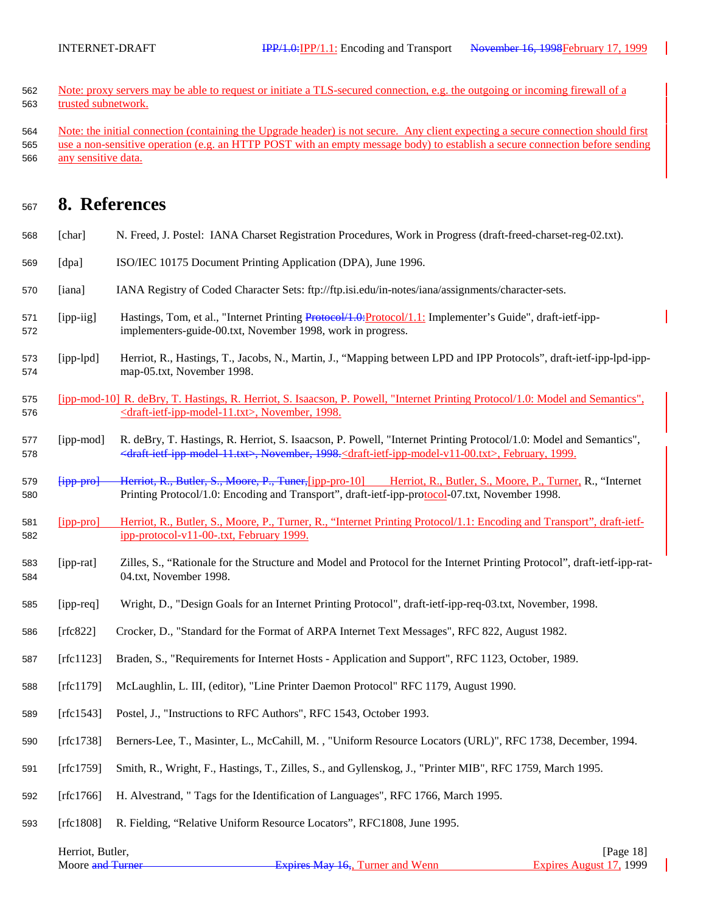Note: proxy servers may be able to request or initiate a TLS-secured connection, e.g. the outgoing or incoming firewall of a trusted subnetwork.

 Note: the initial connection (containing the Upgrade header) is not secure. Any client expecting a secure connection should first use a non-sensitive operation (e.g. an HTTP POST with an empty message body) to establish a secure connection before sending any sensitive data.

## **8. References**

- [char] N. Freed, J. Postel: IANA Charset Registration Procedures, Work in Progress (draft-freed-charset-reg-02.txt).
- [dpa] ISO/IEC 10175 Document Printing Application (DPA), June 1996.
- [iana] IANA Registry of Coded Character Sets: ftp://ftp.isi.edu/in-notes/iana/assignments/character-sets.
- 571 [ipp-iig] Hastings, Tom, et al., "Internet Printing Protocol/1.0: Protocol/1.1: Implementer's Guide", draft-ietf-ipp-implementers-guide-00.txt, November 1998, work in progress.
- [ipp-lpd] Herriot, R., Hastings, T., Jacobs, N., Martin, J., "Mapping between LPD and IPP Protocols", draft-ietf-ipp-lpd-ipp-map-05.txt, November 1998.
- [ipp-mod-10] R. deBry, T. Hastings, R. Herriot, S. Isaacson, P. Powell, "Internet Printing Protocol/1.0: Model and Semantics", <draft-ietf-ipp-model-11.txt>, November, 1998.
- [ipp-mod] R. deBry, T. Hastings, R. Herriot, S. Isaacson, P. Powell, "Internet Printing Protocol/1.0: Model and Semantics", <draft-ietf-ipp-model-11.txt>, November, 1998.<draft-ietf-ipp-model-v11-00.txt>, February, 1999.
- 579 [ipp-pro] Herriot, R., Butler, S., Moore, P., Tuner,[ipp-pro-10] Herriot, R., Butler, S., Moore, P., Turner, R., "Internet Printing Protocol/1.0: Encoding and Transport", draft-ietf-ipp-protocol-07.txt, November 1998.
- [ipp-pro] Herriot, R., Butler, S., Moore, P., Turner, R., "Internet Printing Protocol/1.1: Encoding and Transport", draft-ietf-ipp-protocol-v11-00-.txt, February 1999.
- [ipp-rat] Zilles, S., "Rationale for the Structure and Model and Protocol for the Internet Printing Protocol", draft-ietf-ipp-rat-04.txt, November 1998.
- [ipp-req] Wright, D., "Design Goals for an Internet Printing Protocol", draft-ietf-ipp-req-03.txt, November, 1998.
- [rfc822] Crocker, D., "Standard for the Format of ARPA Internet Text Messages", RFC 822, August 1982.
- [rfc1123] Braden, S., "Requirements for Internet Hosts Application and Support", RFC 1123, October, 1989.
- [rfc1179] McLaughlin, L. III, (editor), "Line Printer Daemon Protocol" RFC 1179, August 1990.
- [rfc1543] Postel, J., "Instructions to RFC Authors", RFC 1543, October 1993.
- [rfc1738] Berners-Lee, T., Masinter, L., McCahill, M. , "Uniform Resource Locators (URL)", RFC 1738, December, 1994.
- [rfc1759] Smith, R., Wright, F., Hastings, T., Zilles, S., and Gyllenskog, J., "Printer MIB", RFC 1759, March 1995.
- [rfc1766] H. Alvestrand, " Tags for the Identification of Languages", RFC 1766, March 1995.
- [rfc1808] R. Fielding, "Relative Uniform Resource Locators", RFC1808, June 1995.

Herriot, Butler, [Page 18] Moore and Turner **Expires May 16**, Turner and Wenn Expires August 17, 1999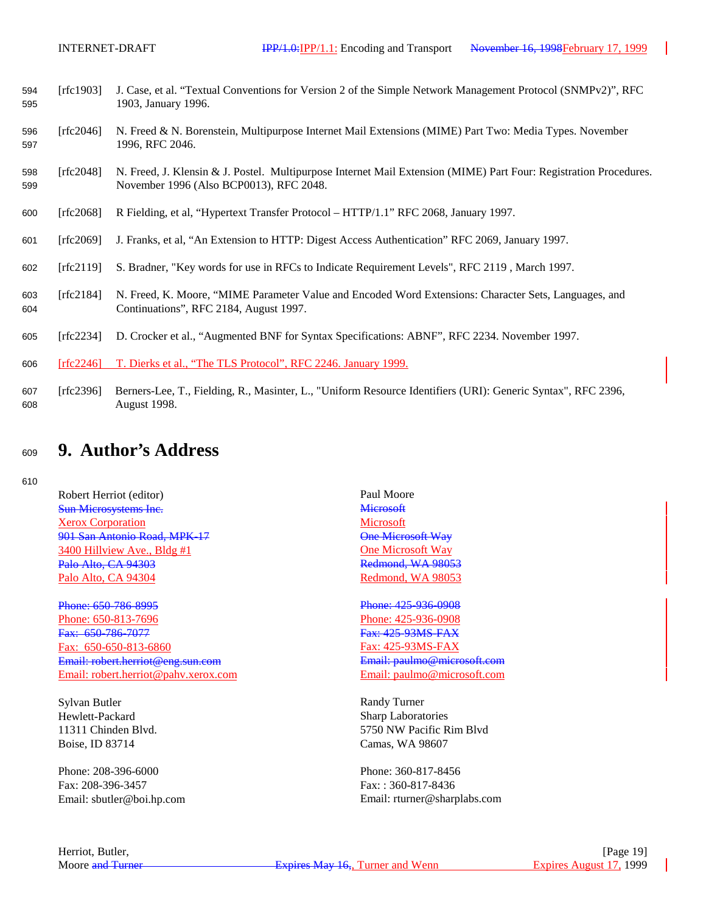- 594 [rfc1903] J. Case, et al. "Textual Conventions for Version 2 of the Simple Network Management Protocol (SNMPv2)", RFC 595 1903, January 1996.
- 596 [rfc2046] N. Freed & N. Borenstein, Multipurpose Internet Mail Extensions (MIME) Part Two: Media Types. November 597 1996, RFC 2046.
- 598 [rfc2048] N. Freed, J. Klensin & J. Postel. Multipurpose Internet Mail Extension (MIME) Part Four: Registration Procedures. 599 November 1996 (Also BCP0013), RFC 2048.
- 600 [rfc2068] R Fielding, et al, "Hypertext Transfer Protocol HTTP/1.1" RFC 2068, January 1997.
- 601 [rfc2069] J. Franks, et al, "An Extension to HTTP: Digest Access Authentication" RFC 2069, January 1997.
- 602 [rfc2119] S. Bradner, "Key words for use in RFCs to Indicate Requirement Levels", RFC 2119 , March 1997.
- 603 [rfc2184] N. Freed, K. Moore, "MIME Parameter Value and Encoded Word Extensions: Character Sets, Languages, and 604 Continuations", RFC 2184, August 1997.
- 605 [rfc2234] D. Crocker et al., "Augmented BNF for Syntax Specifications: ABNF", RFC 2234. November 1997.
- 606 [rfc2246] T. Dierks et al., "The TLS Protocol", RFC 2246. January 1999.
- 607 [rfc2396] Berners-Lee, T., Fielding, R., Masinter, L., "Uniform Resource Identifiers (URI): Generic Syntax", RFC 2396, 608 August 1998.

### <sup>609</sup> **9. Author's Address**

610

Robert Herriot (editor) Paul Moore **Sun Microsystems Inc.** Microsoft Xerox Corporation Microsoft 901 San Antonio Road, MPK-17 Christian Cone Microsoft Way 3400 Hillview Ave., Bldg #1 One Microsoft Way Palo Alto, CA 94303 Redmond, WA 98053 Palo Alto, CA 94304 **Redmond, WA 98053** 

Phone: 650-786-8995 Phone: 425-936-0908 Phone: 650-813-7696 Phone: 650-813-7696 Phone: 650-813-7696 **Fax: 650-786-7077** Fax: 650-786-7077 Fax: 650-650-813-6860 Fax: 425-93MS-FAX Email: robert.herriot@eng.sun.com Email: paulmo@microsoft.com Email: robert.herriot@pahv.xerox.com Email: paulmo@microsoft.com

Sylvan Butler Randy Turner Hewlett-Packard Sharp Laboratories Boise, ID 83714 Camas, WA 98607

Phone: 208-396-6000 Phone: 208-396-6000 Fax: 208-396-3457 Fax: : 360-817-8436

11311 Chinden Blvd. 5750 NW Pacific Rim Blvd

Email: sbutler@boi.hp.com Email: rturner@sharplabs.com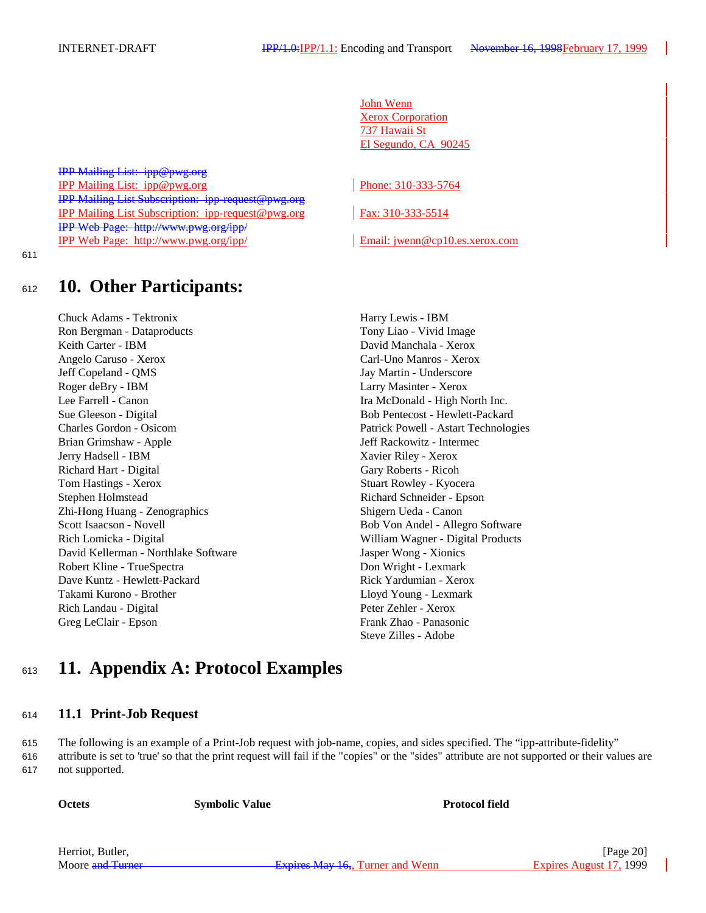John Wenn Xerox Corporation 737 Hawaii St El Segundo, CA 90245

IPP Mailing List: ipp@pwg.org IPP Mailing List: ipp@pwg.org Phone: 310-333-5764 IPP Mailing List Subscription: ipp-request@pwg.org IPP Mailing List Subscription: ipp-request@pwg.org Fax: 310-333-5514 IPP Web Page: http://www.pwg.org/ipp/ IPP Web Page: http://www.pwg.org/ipp/ Email: jwenn@cp10.es.xerox.com

611

# <sup>612</sup> **10. Other Participants:**

Chuck Adams - Tektronix Harry Lewis - IBM Ron Bergman - Dataproducts Tony Liao - Vivid Image Keith Carter - IBM David Manchala - Xerox Angelo Caruso - Xerox Carl-Uno Manros - Xerox Jeff Copeland - QMS Jay Martin - Underscore Roger deBry - IBM Larry Masinter - Xerox Lee Farrell - Canon Ira McDonald - High North Inc. Sue Gleeson - Digital Bob Pentecost - Hewlett-Packard Charles Gordon - Osicom Patrick Powell - Astart Technologies Brian Grimshaw - Apple Jeff Rackowitz - Intermec Jerry Hadsell - IBM Xavier Riley - Xerox Richard Hart - Digital Gary Roberts - Ricoh Tom Hastings - Xerox Stuart Rowley - Kyocera Stephen Holmstead Richard Schneider - Epson Zhi-Hong Huang - Zenographics Shigern Ueda - Canon Scott Isaacson - Novell Bob Von Andel - Allegro Software Rich Lomicka - Digital William Wagner - Digital Products David Kellerman - Northlake Software Jasper Wong - Xionics Robert Kline - TrueSpectra **Don Wright** - Lexmark Dave Kuntz - Hewlett-Packard **Rick Yardumian - Xerox** Takami Kurono - Brother Lloyd Young - Lexmark Rich Landau - Digital Peter Zehler - Xerox Greg LeClair - Epson Frank Zhao - Panasonic

Steve Zilles - Adobe

## <sup>613</sup> **11. Appendix A: Protocol Examples**

### <sup>614</sup> **11.1 Print-Job Request**

615 The following is an example of a Print-Job request with job-name, copies, and sides specified. The "ipp-attribute-fidelity" 616 attribute is set to 'true' so that the print request will fail if the "copies" or the "sides" attribute are not supported or their values are 617 not supported.

**Octets Symbolic Value Protocol field**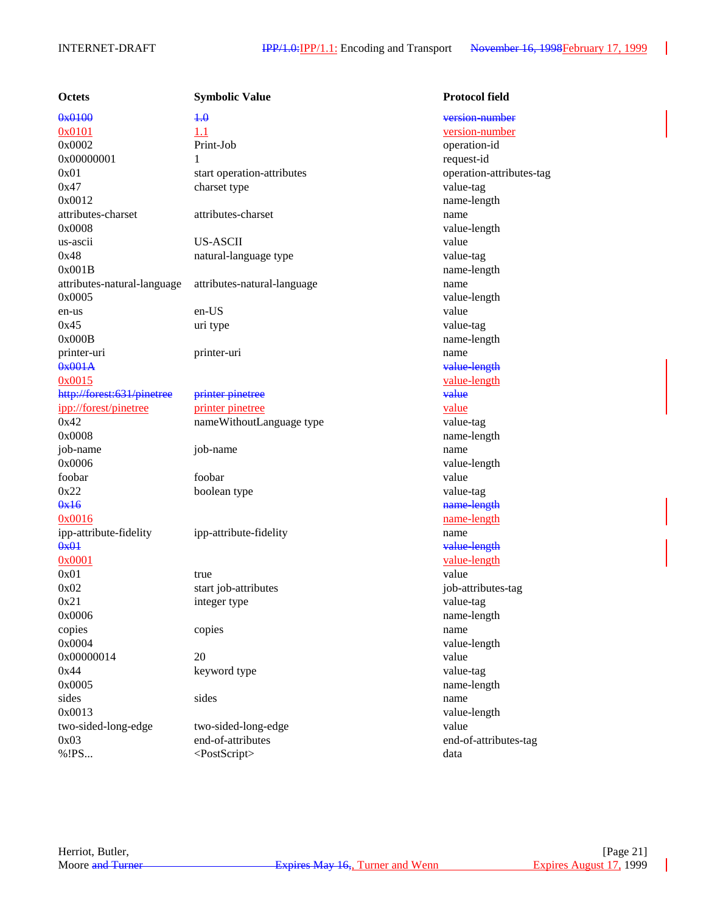| Octets                     |
|----------------------------|
| 0x0100                     |
| 0x0101                     |
| 0x0002                     |
| 0x00000001                 |
| 0x01                       |
| 0x47                       |
| 0x0012                     |
| attributes-charset         |
| 0x0008                     |
| us-ascii                   |
| 0x48                       |
| 0x001B                     |
| attributes-natural-languag |
| 0x0005                     |
| en-us                      |
| 0x45                       |
| 0x000B                     |
| printer-uri                |
| 0x001A                     |
| 0x0015                     |
| http://forest:631/pinetree |
| ipp://forest/pinetree      |
| 0x42                       |
| 0x0008                     |
| job-name                   |
| 0x0006                     |
| foobar                     |
| 0x22                       |
| 0x16                       |
| 0x0016                     |
| ipp-attribute-fidelity     |
| 0x01                       |
| 0x0001                     |
| 0x01                       |
| 0x02                       |
| 0x21                       |
| 0x0006                     |
| copies                     |
| 0x0004                     |
| 0x00000014                 |
| 0x44                       |
| 0x0005                     |
| sides                      |
| 0x0013                     |
| two-sided-long-edge        |
| 0x03                       |
| %!PS                       |

**October Symbolic Value Protocol field** 1.0 version-number 1.1 version-number Print-Job operation-id 1 request-id start operation-attributes operation-attributes-tag charset type value-tag attributes-charset attributes-charset name us-ascii US-ASCII value natural-language type value-tag attributes-natural-language attributes-natural-language name en-us en-US value 0x45 uri type value-tag printer-uri printer-uri name printer pinetree printer pinetree value nameWithoutLanguage type value-tag job-name job-name name foobar foobar value boolean type value-tag ipp-attribute-fidelity ipp-attribute-fidelity name 0x01 true value value value start job-attributes is in the start job-attributes-tag integer type value-tag copies copies copies copies and copies name 0x00000014 20 value keyword type value-tag sides sides sides name two-sided-long-edge value

<PostScript> data

name-length value-length name-length value-length name-length value-length value-length<br>value name-length value-length name-length name-length value-length value-length name-length value-length name-length value-length end-of-attributes end-of-attributes-tag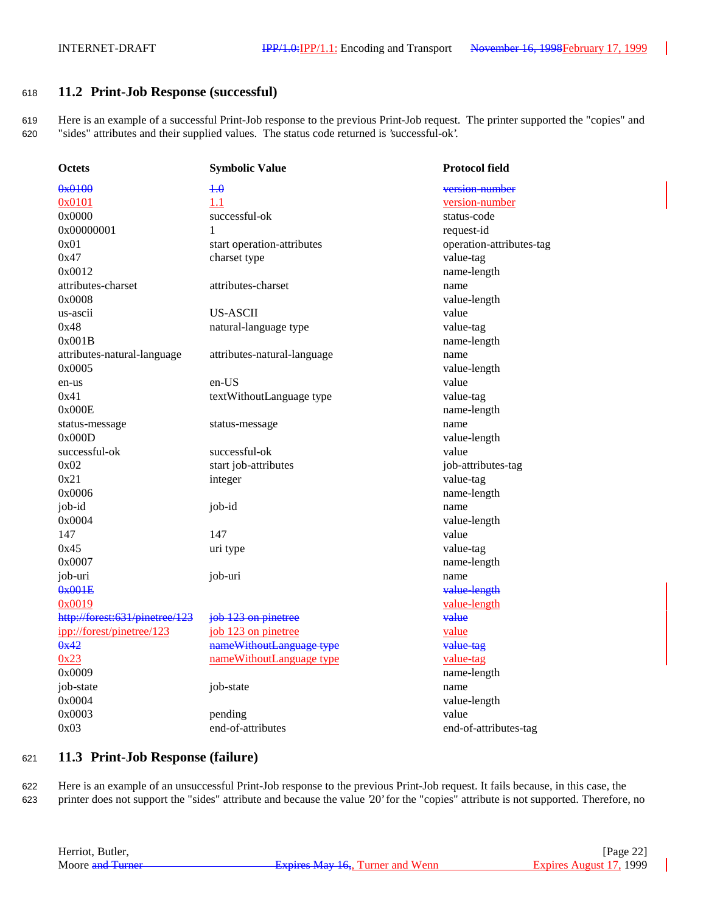### <sup>618</sup> **11.2 Print-Job Response (successful)**

619 Here is an example of a successful Print-Job response to the previous Print-Job request. The printer supported the "copies" and 620 "sides" attributes and their supplied values. The status code returned is 'successful-ok'.

| <b>Octets</b>                  | <b>Symbolic Value</b>       | <b>Protocol field</b>    |
|--------------------------------|-----------------------------|--------------------------|
| 0x0100                         | $+ \theta$                  | version-number           |
| 0x0101                         | 1.1                         | version-number           |
| 0x0000                         | successful-ok               | status-code              |
| 0x00000001                     | 1                           | request-id               |
| 0x01                           | start operation-attributes  | operation-attributes-tag |
| 0x47                           | charset type                | value-tag                |
| 0x0012                         |                             | name-length              |
| attributes-charset             | attributes-charset          | name                     |
| 0x0008                         |                             | value-length             |
| us-ascii                       | <b>US-ASCII</b>             | value                    |
| 0x48                           | natural-language type       | value-tag                |
| 0x001B                         |                             | name-length              |
| attributes-natural-language    | attributes-natural-language | name                     |
| 0x0005                         |                             | value-length             |
| en-us                          | en-US                       | value                    |
| 0x41                           | textWithoutLanguage type    | value-tag                |
| 0x000E                         |                             | name-length              |
| status-message                 | status-message              | name                     |
| 0x000D                         |                             | value-length             |
| successful-ok                  | successful-ok               | value                    |
| 0x02                           | start job-attributes        | job-attributes-tag       |
| 0x21                           | integer                     | value-tag                |
| 0x0006                         |                             | name-length              |
| job-id                         | job-id                      | name                     |
| 0x0004                         |                             | value-length             |
| 147                            | 147                         | value                    |
| 0x45                           | uri type                    | value-tag                |
| 0x0007                         |                             | name-length              |
| job-uri                        | job-uri                     | name                     |
| 0x001E                         |                             | value-length             |
| 0x0019                         |                             | value-length             |
| http://forest:631/pinetree/123 | job 123 on pinetree         | value                    |
| ipp://forest/pinetree/123      | job 123 on pinetree         | value                    |
| 0x42                           | nameWithoutLanguage type    | value-tag                |
| 0x23                           | nameWithoutLanguage type    | value-tag                |
| 0x0009                         |                             | name-length              |
| job-state                      | job-state                   | name                     |
| 0x0004                         |                             | value-length             |
| 0x0003                         | pending                     | value                    |
| 0x03                           | end-of-attributes           | end-of-attributes-tag    |

### <sup>621</sup> **11.3 Print-Job Response (failure)**

622 Here is an example of an unsuccessful Print-Job response to the previous Print-Job request. It fails because, in this case, the 623 printer does not support the "sides" attribute and because the value '20' for the "copies" attribute is not supported. Therefore, no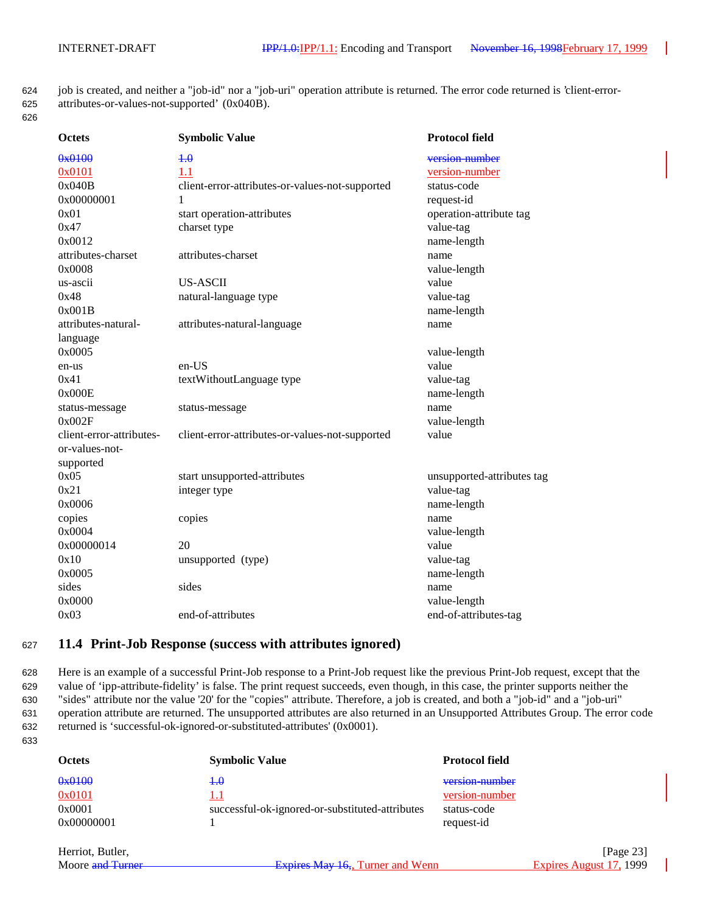624 job is created, and neither a "job-id" nor a "job-uri" operation attribute is returned. The error code returned is 'client-error-625 attributes-or-values-not-supported' (0x040B).

#### 626

| <b>Octets</b>            | <b>Symbolic Value</b>                           | <b>Protocol field</b>      |
|--------------------------|-------------------------------------------------|----------------------------|
| 0x0100                   | $+ \theta$                                      | version-number             |
| 0x0101                   | 1.1                                             | version-number             |
| 0x040B                   | client-error-attributes-or-values-not-supported | status-code                |
| 0x00000001               | 1                                               | request-id                 |
| 0x01                     | start operation-attributes                      | operation-attribute tag    |
| 0x47                     | charset type                                    | value-tag                  |
| 0x0012                   |                                                 | name-length                |
| attributes-charset       | attributes-charset                              | name                       |
| 0x0008                   |                                                 | value-length               |
| us-ascii                 | <b>US-ASCII</b>                                 | value                      |
| 0x48                     | natural-language type                           | value-tag                  |
| 0x001B                   |                                                 | name-length                |
| attributes-natural-      | attributes-natural-language                     | name                       |
| language                 |                                                 |                            |
| 0x0005                   |                                                 | value-length               |
| en-us                    | en-US                                           | value                      |
| 0x41                     | textWithoutLanguage type                        | value-tag                  |
| 0x000E                   |                                                 | name-length                |
| status-message           | status-message                                  | name                       |
| 0x002F                   |                                                 | value-length               |
| client-error-attributes- | client-error-attributes-or-values-not-supported | value                      |
| or-values-not-           |                                                 |                            |
| supported                |                                                 |                            |
| 0x05                     | start unsupported-attributes                    | unsupported-attributes tag |
| 0x21                     | integer type                                    | value-tag                  |
| 0x0006                   |                                                 | name-length                |
| copies                   | copies                                          | name                       |
| 0x0004                   |                                                 | value-length               |
| 0x00000014               | 20                                              | value                      |
| 0x10                     | unsupported (type)                              | value-tag                  |
| 0x0005                   |                                                 | name-length                |
| sides                    | sides                                           | name                       |
| 0x0000                   |                                                 | value-length               |
| 0x03                     | end-of-attributes                               | end-of-attributes-tag      |

### <sup>627</sup> **11.4 Print-Job Response (success with attributes ignored)**

 Here is an example of a successful Print-Job response to a Print-Job request like the previous Print-Job request, except that the value of 'ipp-attribute-fidelity' is false. The print request succeeds, even though, in this case, the printer supports neither the "sides" attribute nor the value '20' for the "copies" attribute. Therefore, a job is created, and both a "job-id" and a "job-uri" operation attribute are returned. The unsupported attributes are also returned in an Unsupported Attributes Group. The error code returned is 'successful-ok-ignored-or-substituted-attributes' (0x0001).

633

| <b>Octets</b>                                     | <b>Symbolic Value</b>                                         | <b>Protocol field</b>                                         |
|---------------------------------------------------|---------------------------------------------------------------|---------------------------------------------------------------|
| $0 \times 0100$<br>0x0101<br>0x0001<br>0x00000001 | $+ \theta$<br>successful-ok-ignored-or-substituted-attributes | version-number<br>version-number<br>status-code<br>request-id |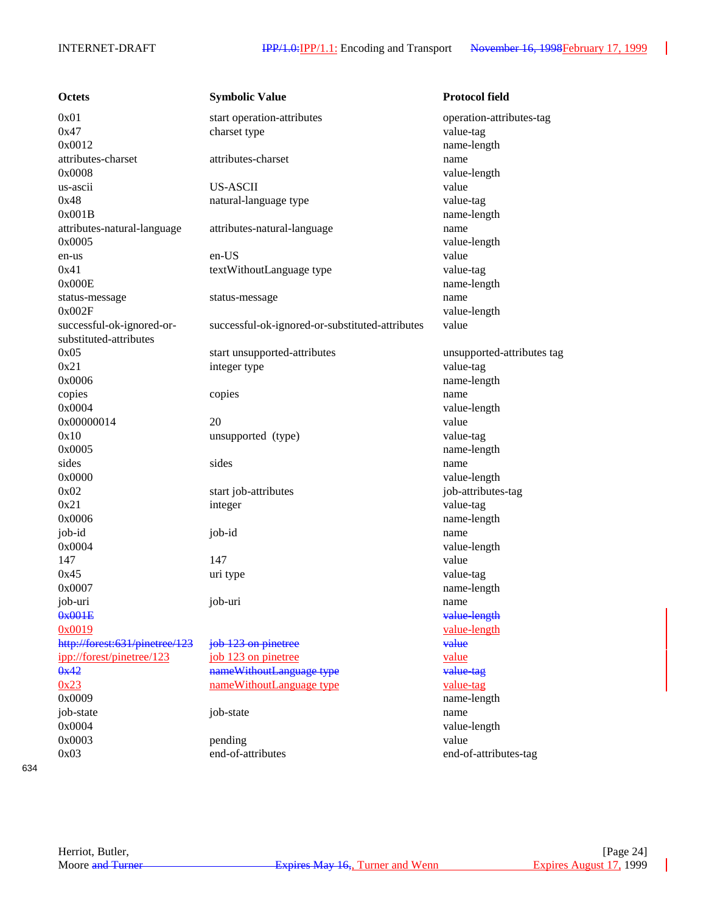successful-ok-ignored-orsubstituted-attributes

**Octets Symbolic Value Protocol field** 0x01 start operation-attributes operation-attributes-tag 0x47 charset type value-tag 0x0012 name-length attributes-charset attributes-charset name<br>  $0 \times 0008$  valueus-ascii US-ASCII value 0x48 natural-language type value-tag 0x001B name-length attributes-natural-language attributes-natural-language name 0x0005 value-length en-us en-US value 0x41 textWithoutLanguage type value-tag 0x000E name-length status-message status-message name 0x002F value-length successful-ok-ignored-or-substituted-attributes value 0x05 start unsupported-attributes unsupported-attributes is the unsupported-attributes tag 0x21 integer type value-tag 0x0006 name-length copies copies copies and copies and copies and copies and copies and copies and copies and copies and copies and copies and copies and copies and copies and copies and copies and copies and copies and copies and copies and 0x0004 value-length 0x000000014 20 value 0x10 unsupported (type) value-tag 0x0005 name-length sides name sides sides name sides name sides name sides name sides name sides name sides name sides name sides 0x0000 value-length 0x02 start job-attributes in the start in the start in the start in the start in the start in the start in the start in the start in the start in the start in the start in the start in the start in the start in the start i 0x21 integer value-tag 0x0006 name-length job-id job-id name 0x0004 value-length 147 value 0x45 uri type value-tag 0x0007 name-length job-uri job-uri name 0x001E value-length 0x0019 value-length http://forest:631/pinetree/123 job 123 on pinetree ipp://forest/pinetree/123 job 123 on pinetree value 0x42 nameWithoutLanguage type value-tag 0x23 nameWithoutLanguage type value-tag 0x0009 name-length job-state job-state name 0x0004 value-length 0x0003 pending value 0x03 end-of-attributes end-of-attributes-tag

value-length

634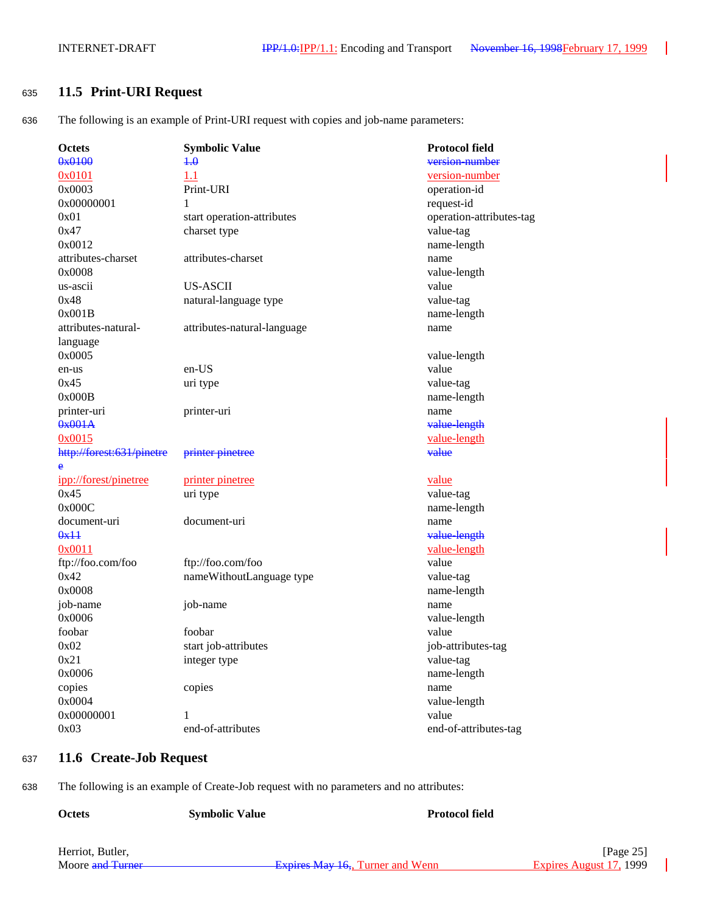### <sup>635</sup> **11.5 Print-URI Request**

636 The following is an example of Print-URI request with copies and job-name parameters:

| Octets                    | <b>Symbolic Value</b>       | <b>Protocol field</b>    |
|---------------------------|-----------------------------|--------------------------|
| 0x0100                    | $+0$                        | version-number           |
| 0x0101                    | 1.1                         | version-number           |
| 0x0003                    | Print-URI                   | operation-id             |
| 0x00000001                | 1                           | request-id               |
| 0x01                      | start operation-attributes  | operation-attributes-tag |
| 0x47                      | charset type                | value-tag                |
| 0x0012                    |                             | name-length              |
| attributes-charset        | attributes-charset          | name                     |
| 0x0008                    |                             | value-length             |
| us-ascii                  | <b>US-ASCII</b>             | value                    |
| 0x48                      | natural-language type       | value-tag                |
| 0x001B                    |                             | name-length              |
| attributes-natural-       | attributes-natural-language | name                     |
| language                  |                             |                          |
| 0x0005                    |                             | value-length             |
| en-us                     | en-US                       | value                    |
| 0x45                      | uri type                    | value-tag                |
| 0x000B                    |                             | name-length              |
| printer-uri               | printer-uri                 | name                     |
| 0x001A                    |                             | value-length             |
| 0x0015                    |                             | value-length             |
| http://forest:631/pinetre | printer pinetree            | value                    |
| è                         |                             |                          |
| ipp://forest/pinetree     | printer pinetree            | <u>value</u>             |
| 0x45                      | uri type                    | value-tag                |
| 0x000C                    |                             | name-length              |
| document-uri              | document-uri                | name                     |
| 0x11                      |                             | value-length             |
| 0x0011                    |                             | value-length             |
| ftp://foo.com/foo         | ftp://foo.com/foo           | value                    |
| 0x42                      | nameWithoutLanguage type    | value-tag                |
| 0x0008                    |                             | name-length              |
| job-name                  | job-name                    | name                     |
| 0x0006                    |                             | value-length             |
| foobar                    | foobar                      | value                    |
| 0x02                      | start job-attributes        | job-attributes-tag       |
| 0x21                      | integer type                | value-tag                |
| 0x0006                    |                             | name-length              |
| copies                    | copies                      | name                     |
| 0x0004                    |                             | value-length             |
| 0x00000001                | 1                           | value                    |
| 0x03                      | end-of-attributes           | end-of-attributes-tag    |

- <sup>637</sup> **11.6 Create-Job Request**
- 638 The following is an example of Create-Job request with no parameters and no attributes:

**Octets Symbolic Value Protocol field**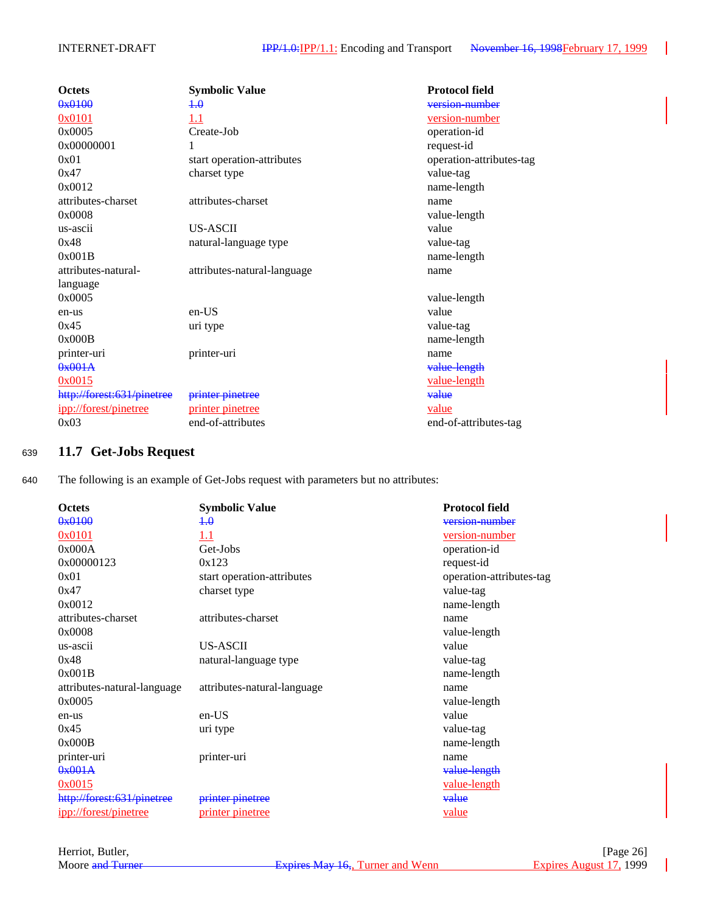| <b>Octets</b>              | <b>Symbolic Value</b>       | <b>Protocol field</b>    |
|----------------------------|-----------------------------|--------------------------|
| $0 \times 0100$            | $+ \theta$                  | version-number           |
| 0x0101                     | 1.1                         | version-number           |
| 0x0005                     | Create-Job                  | operation-id             |
| 0x00000001                 | 1                           | request-id               |
| 0x01                       | start operation-attributes  | operation-attributes-tag |
| 0x47                       | charset type                | value-tag                |
| 0x0012                     |                             | name-length              |
| attributes-charset         | attributes-charset          | name                     |
| 0x0008                     |                             | value-length             |
| us-ascii                   | <b>US-ASCII</b>             | value                    |
| 0x48                       | natural-language type       | value-tag                |
| 0x001B                     |                             | name-length              |
| attributes-natural-        | attributes-natural-language | name                     |
| language                   |                             |                          |
| 0x0005                     |                             | value-length             |
| en-us                      | $en-US$                     | value                    |
| 0x45                       | uri type                    | value-tag                |
| 0x000B                     |                             | name-length              |
| printer-uri                | printer-uri                 | name                     |
| 0x001A                     |                             | value-length             |
| 0x0015                     |                             | value-length             |
| http://forest:631/pinetree | printer pinetree            | value                    |
| ipp://forest/pinetree      | printer pinetree            | value                    |
| 0x03                       | end-of-attributes           | end-of-attributes-tag    |

### <sup>639</sup> **11.7 Get-Jobs Request**

640 The following is an example of Get-Jobs request with parameters but no attributes:

| $0 \times 0100$<br>$+.\theta$<br>version-number<br>0x0101<br>1.1<br>version-number<br>0x000A<br>Get-Jobs<br>operation-id<br>0x00000123<br>0x123<br>request-id<br>0x01<br>start operation-attributes<br>operation-attributes-tag |  |
|---------------------------------------------------------------------------------------------------------------------------------------------------------------------------------------------------------------------------------|--|
|                                                                                                                                                                                                                                 |  |
|                                                                                                                                                                                                                                 |  |
|                                                                                                                                                                                                                                 |  |
|                                                                                                                                                                                                                                 |  |
|                                                                                                                                                                                                                                 |  |
| 0x47<br>charset type<br>value-tag                                                                                                                                                                                               |  |
| 0x0012<br>name-length                                                                                                                                                                                                           |  |
| attributes-charset<br>attributes-charset<br>name                                                                                                                                                                                |  |
| 0x0008<br>value-length                                                                                                                                                                                                          |  |
| US-ASCII<br>us-ascii<br>value                                                                                                                                                                                                   |  |
| 0x48<br>natural-language type<br>value-tag                                                                                                                                                                                      |  |
| 0x001B<br>name-length                                                                                                                                                                                                           |  |
| attributes-natural-language<br>attributes-natural-language<br>name                                                                                                                                                              |  |
| 0x0005<br>value-length                                                                                                                                                                                                          |  |
| en-US<br>value<br>en-us                                                                                                                                                                                                         |  |
| 0x45<br>uri type<br>value-tag                                                                                                                                                                                                   |  |
| 0x000B<br>name-length                                                                                                                                                                                                           |  |
| printer-uri<br>printer-uri<br>name                                                                                                                                                                                              |  |
| 0x001A<br>value-length                                                                                                                                                                                                          |  |
| 0x0015<br>value-length                                                                                                                                                                                                          |  |
| http://forest:631/pinetree<br>printer pinetree<br>value                                                                                                                                                                         |  |
| ipp://forest/pinetree<br>printer pinetree<br>value                                                                                                                                                                              |  |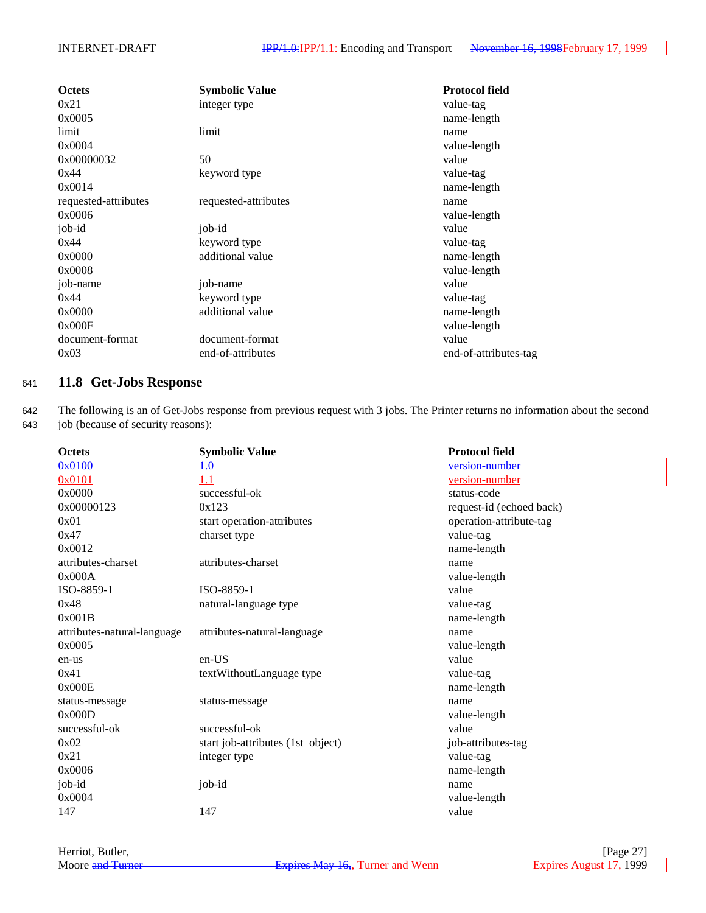| <b>Octets</b>        | <b>Symbolic Value</b> | <b>Protocol field</b> |
|----------------------|-----------------------|-----------------------|
| 0x21                 | integer type          | value-tag             |
| 0x0005               |                       | name-length           |
| limit                | limit                 | name                  |
| 0x0004               |                       | value-length          |
| 0x00000032           | 50                    | value                 |
| 0x44                 | keyword type          | value-tag             |
| 0x0014               |                       | name-length           |
| requested-attributes | requested-attributes  | name                  |
| 0x0006               |                       | value-length          |
| job-id               | job-id                | value                 |
| 0x44                 | keyword type          | value-tag             |
| 0x0000               | additional value      | name-length           |
| 0x0008               |                       | value-length          |
| job-name             | job-name              | value                 |
| 0x44                 | keyword type          | value-tag             |
| 0x0000               | additional value      | name-length           |
| 0x000F               |                       | value-length          |
| document-format      | document-format       | value                 |
| 0x03                 | end-of-attributes     | end-of-attributes-tag |

### <sup>641</sup> **11.8 Get-Jobs Response**

642 The following is an of Get-Jobs response from previous request with 3 jobs. The Printer returns no information about the second 643 job (because of security reasons):

| <b>Octets</b>               | <b>Symbolic Value</b>             | <b>Protocol field</b>    |
|-----------------------------|-----------------------------------|--------------------------|
| 0x0100                      | 4.0                               | version-number           |
| 0x0101                      | 1.1                               | version-number           |
| 0x0000                      | successful-ok                     | status-code              |
| 0x00000123                  | 0x123                             | request-id (echoed back) |
| 0x01                        | start operation-attributes        | operation-attribute-tag  |
| 0x47                        | charset type                      | value-tag                |
| 0x0012                      |                                   | name-length              |
| attributes-charset          | attributes-charset                | name                     |
| 0x000A                      |                                   | value-length             |
| ISO-8859-1                  | ISO-8859-1                        | value                    |
| 0x48                        | natural-language type             | value-tag                |
| 0x001B                      |                                   | name-length              |
| attributes-natural-language | attributes-natural-language       | name                     |
| 0x0005                      |                                   | value-length             |
| en-us                       | $en-US$                           | value                    |
| 0x41                        | textWithoutLanguage type          | value-tag                |
| 0x000E                      |                                   | name-length              |
| status-message              | status-message                    | name                     |
| 0x000D                      |                                   | value-length             |
| successful-ok               | successful-ok                     | value                    |
| 0x02                        | start job-attributes (1st object) | job-attributes-tag       |
| 0x21                        | integer type                      | value-tag                |
| 0x0006                      |                                   | name-length              |
| job-id                      | job-id                            | name                     |
| 0x0004                      |                                   | value-length             |
| 147                         | 147                               | value                    |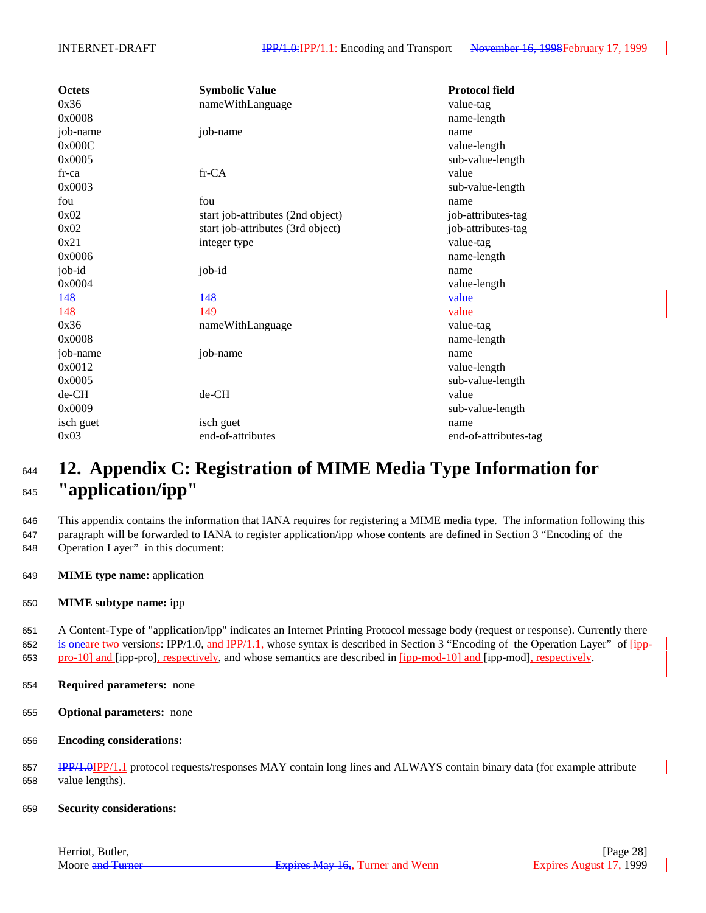| <b>Octets</b> | <b>Symbolic Value</b>             | <b>Protocol field</b> |
|---------------|-----------------------------------|-----------------------|
| 0x36          | nameWithLanguage                  | value-tag             |
| 0x0008        |                                   | name-length           |
| job-name      | job-name                          | name                  |
| 0x000C        |                                   | value-length          |
| 0x0005        |                                   | sub-value-length      |
| $fr-ca$       | fr-CA                             | value                 |
| 0x0003        |                                   | sub-value-length      |
| fou           | fou                               | name                  |
| 0x02          | start job-attributes (2nd object) | job-attributes-tag    |
| 0x02          | start job-attributes (3rd object) | job-attributes-tag    |
| 0x21          | integer type                      | value-tag             |
| 0x0006        |                                   | name-length           |
| job-id        | job-id                            | name                  |
| 0x0004        |                                   | value-length          |
| 148           | 448                               | value                 |
| <u>148</u>    | <u>149</u>                        | value                 |
| 0x36          | nameWithLanguage                  | value-tag             |
| 0x0008        |                                   | name-length           |
| job-name      | job-name                          | name                  |
| 0x0012        |                                   | value-length          |
| 0x0005        |                                   | sub-value-length      |
| de-CH         | de-CH                             | value                 |
| 0x0009        |                                   | sub-value-length      |
| isch guet     | isch guet                         | name                  |
| 0x03          | end-of-attributes                 | end-of-attributes-tag |
|               |                                   |                       |

# <sup>644</sup> **12. Appendix C: Registration of MIME Media Type Information for** <sup>645</sup> **"application/ipp"**

646 This appendix contains the information that IANA requires for registering a MIME media type. The information following this 647 paragraph will be forwarded to IANA to register application/ipp whose contents are defined in Section 3 "Encoding of the 648 Operation Layer" in this document:

649 **MIME type name:** application

### 650 **MIME subtype name:** ipp

651 A Content-Type of "application/ipp" indicates an Internet Printing Protocol message body (request or response). Currently there 652 is oneare two versions: IPP/1.0, and IPP/1.1, whose syntax is described in Section 3 "Encoding of the Operation Layer" of [ipp-653 pro-10] and [ipp-pro], respectively, and whose semantics are described in [ipp-mod-10] and [ipp-mod], respectively.

- 654 **Required parameters:** none
- 655 **Optional parameters:** none
- 656 **Encoding considerations:**

657 IPP/1.0IPP/1.1 protocol requests/responses MAY contain long lines and ALWAYS contain binary data (for example attribute 658 value lengths).

659 **Security considerations:**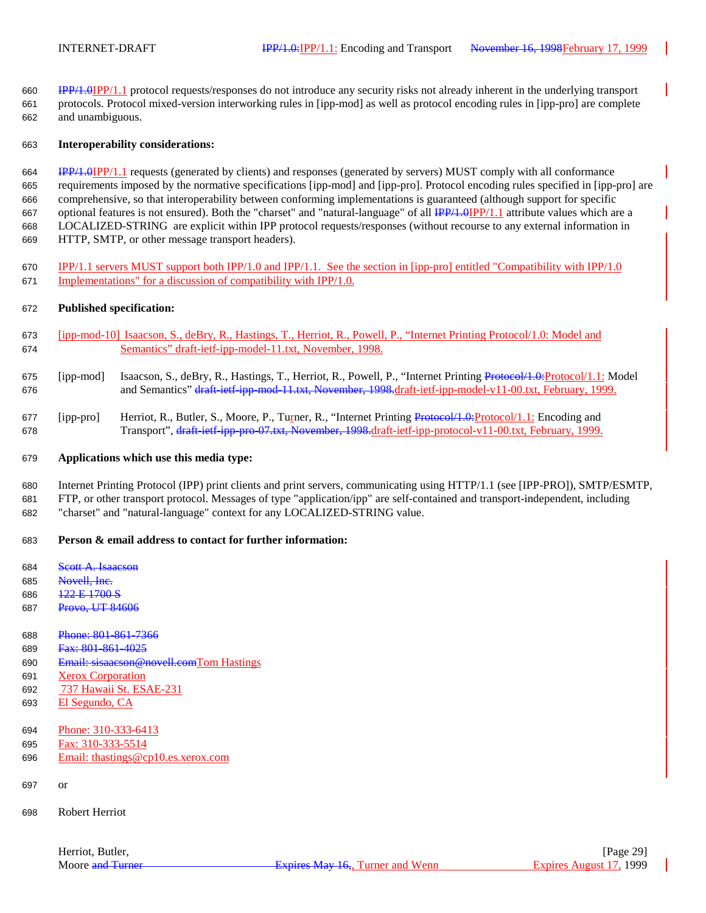IPP/1.0IPP/1.1 protocol requests/responses do not introduce any security risks not already inherent in the underlying transport protocols. Protocol mixed-version interworking rules in [ipp-mod] as well as protocol encoding rules in [ipp-pro] are complete and unambiguous.

### **Interoperability considerations:**

 IPP/1.0IPP/1.1 requests (generated by clients) and responses (generated by servers) MUST comply with all conformance requirements imposed by the normative specifications [ipp-mod] and [ipp-pro]. Protocol encoding rules specified in [ipp-pro] are comprehensive, so that interoperability between conforming implementations is guaranteed (although support for specific 667 optional features is not ensured). Both the "charset" and "natural-language" of all IPP/1.0IPP/1.1 attribute values which are a LOCALIZED-STRING are explicit within IPP protocol requests/responses (without recourse to any external information in HTTP, SMTP, or other message transport headers).

 IPP/1.1 servers MUST support both IPP/1.0 and IPP/1.1. See the section in [ipp-pro] entitled "Compatibility with IPP/1.0 Implementations" for a discussion of compatibility with IPP/1.0.

### **Published specification:**

- [ipp-mod-10] Isaacson, S., deBry, R., Hastings, T., Herriot, R., Powell, P., "Internet Printing Protocol/1.0: Model and Semantics" draft-ietf-ipp-model-11.txt, November, 1998.
- 675 [ipp-mod] Isaacson, S., deBry, R., Hastings, T., Herriot, R., Powell, P., "Internet Printing Protocol/1.0: Protocol/1.1: Model 676 and Semantics" draft-ietf-ipp-mod-11.txt, November, 1998.draft-ietf-ipp-model-v11-00.txt, February, 1999.
- 677 [ipp-pro] Herriot, R., Butler, S., Moore, P., Turner, R., "Internet Printing Protocol/1.0: Protocol/1.1: Encoding and Transport", draft-ietf-ipp-pro-07.txt, November, 1998.draft-ietf-ipp-protocol-v11-00.txt, February, 1999.

#### **Applications which use this media type:**

 Internet Printing Protocol (IPP) print clients and print servers, communicating using HTTP/1.1 (see [IPP-PRO]), SMTP/ESMTP, FTP, or other transport protocol. Messages of type "application/ipp" are self-contained and transport-independent, including "charset" and "natural-language" context for any LOCALIZED-STRING value.

#### **Person & email address to contact for further information:**

- Scott A. Isaacson
- Novell, Inc.
- 686 122 E 1700 S
- Provo, UT 84606
- Phone: 801-861-7366
- 689 Fax: 801-861-4025
- Email: sisaacson@novell.comTom Hastings
- Xerox Corporation
- 737 Hawaii St. ESAE-231
- El Segundo, CA
- Phone: 310-333-6413
- Fax: 310-333-5514
- Email: thastings@cp10.es.xerox.com
- or
- Robert Herriot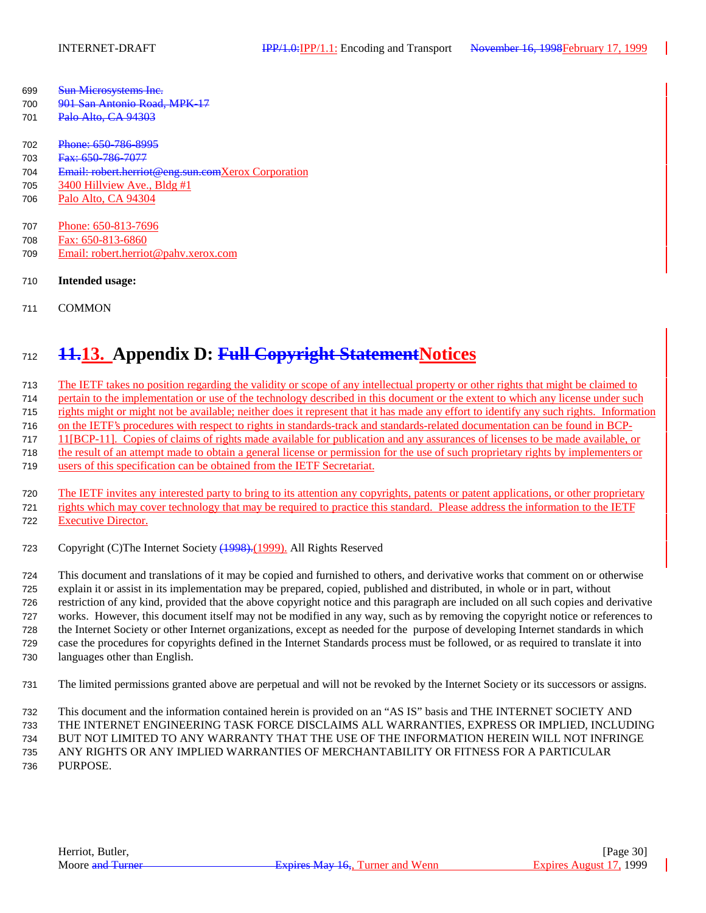- Sun Microsystems Inc.
- 901 San Antonio Road, MPK-17
- Palo Alto, CA 94303
- 702 Phone: 650-786-8995
- Fax: 650-786-7077
- Email: robert.herriot@eng.sun.comXerox Corporation
- 3400 Hillview Ave., Bldg #1
- Palo Alto, CA 94304
- Phone: 650-813-7696
- Fax: 650-813-6860
- Email: robert.herriot@pahv.xerox.com
- **Intended usage:**
- COMMON

# **11.13. Appendix D: Full Copyright StatementNotices**

 The IETF takes no position regarding the validity or scope of any intellectual property or other rights that might be claimed to pertain to the implementation or use of the technology described in this document or the extent to which any license under such 715 rights might or might not be available; neither does it represent that it has made any effort to identify any such rights. Information on the IETF's procedures with respect to rights in standards-track and standards-related documentation can be found in BCP- 11[BCP-11]. Copies of claims of rights made available for publication and any assurances of licenses to be made available, or the result of an attempt made to obtain a general license or permission for the use of such proprietary rights by implementers or users of this specification can be obtained from the IETF Secretariat.

 The IETF invites any interested party to bring to its attention any copyrights, patents or patent applications, or other proprietary rights which may cover technology that may be required to practice this standard. Please address the information to the IETF

- Executive Director.
- 723 Copyright (C)The Internet Society (1998). (1999). All Rights Reserved

 This document and translations of it may be copied and furnished to others, and derivative works that comment on or otherwise explain it or assist in its implementation may be prepared, copied, published and distributed, in whole or in part, without restriction of any kind, provided that the above copyright notice and this paragraph are included on all such copies and derivative works. However, this document itself may not be modified in any way, such as by removing the copyright notice or references to the Internet Society or other Internet organizations, except as needed for the purpose of developing Internet standards in which case the procedures for copyrights defined in the Internet Standards process must be followed, or as required to translate it into languages other than English.

The limited permissions granted above are perpetual and will not be revoked by the Internet Society or its successors or assigns.

This document and the information contained herein is provided on an "AS IS" basis and THE INTERNET SOCIETY AND

THE INTERNET ENGINEERING TASK FORCE DISCLAIMS ALL WARRANTIES, EXPRESS OR IMPLIED, INCLUDING

BUT NOT LIMITED TO ANY WARRANTY THAT THE USE OF THE INFORMATION HEREIN WILL NOT INFRINGE

 ANY RIGHTS OR ANY IMPLIED WARRANTIES OF MERCHANTABILITY OR FITNESS FOR A PARTICULAR PURPOSE.